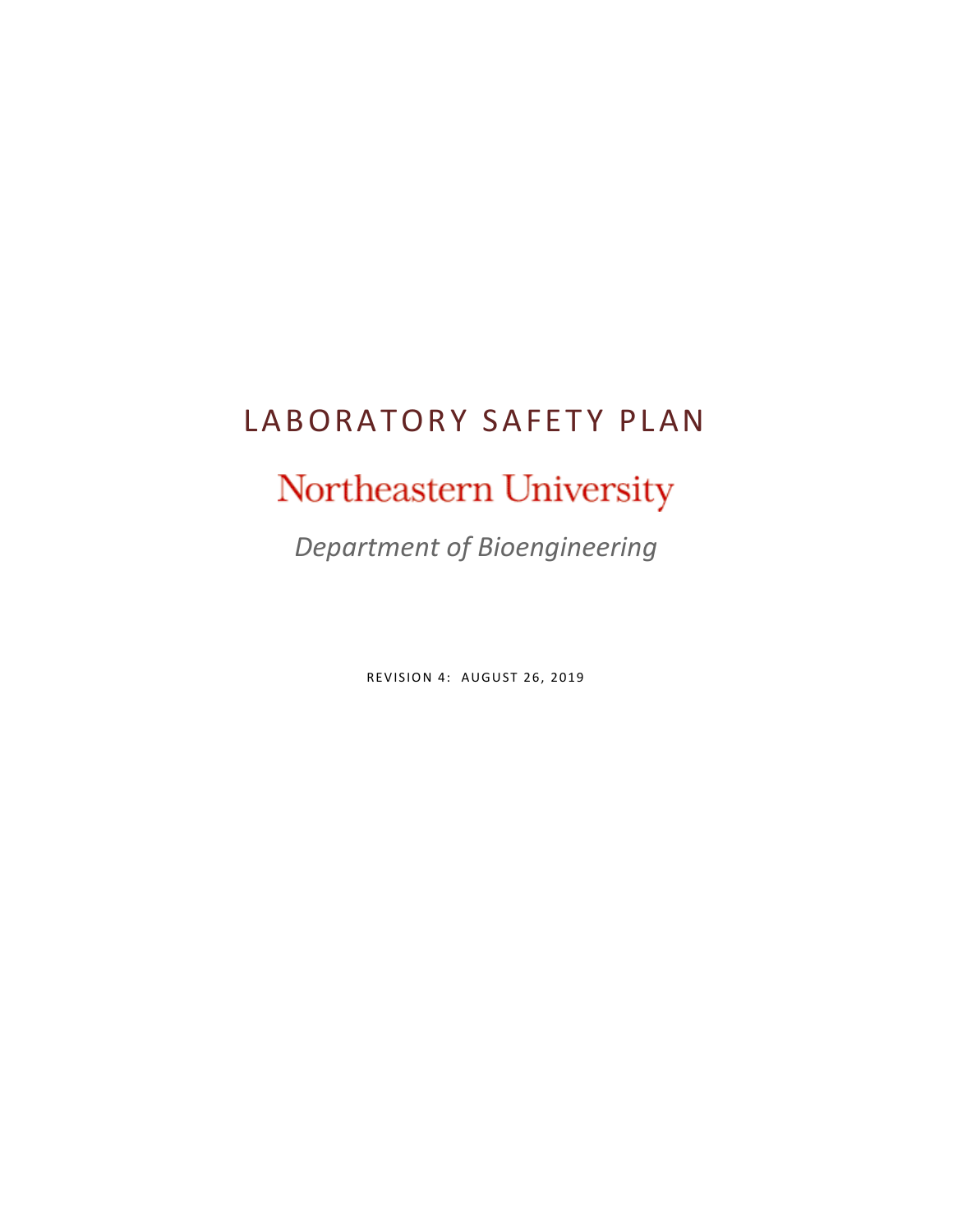# LABORATORY SAFETY PLAN

# Northeastern University

*Department of Bioengineering*

**REVISION 4: AUGUST 26, 2019**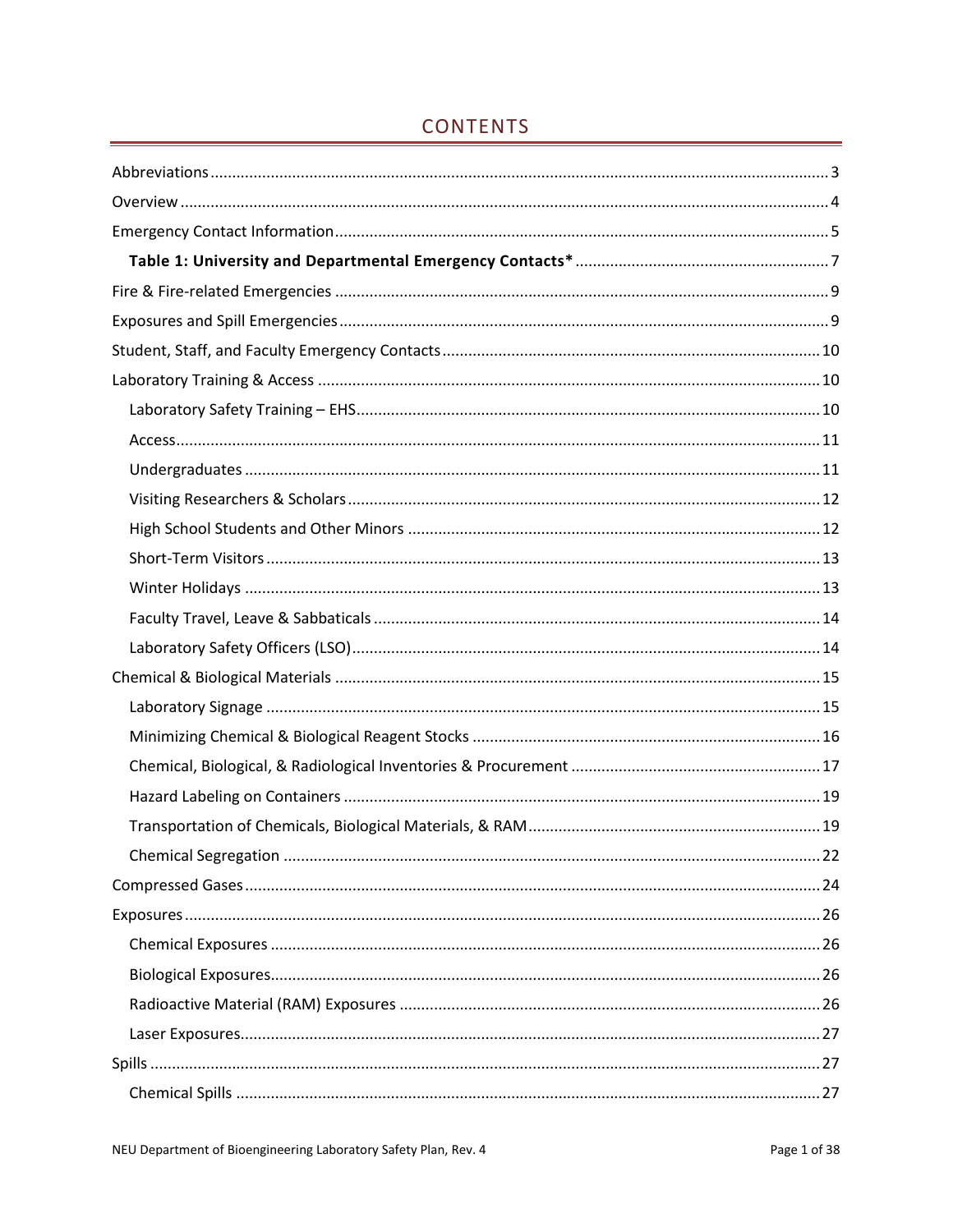# **CONTENTS**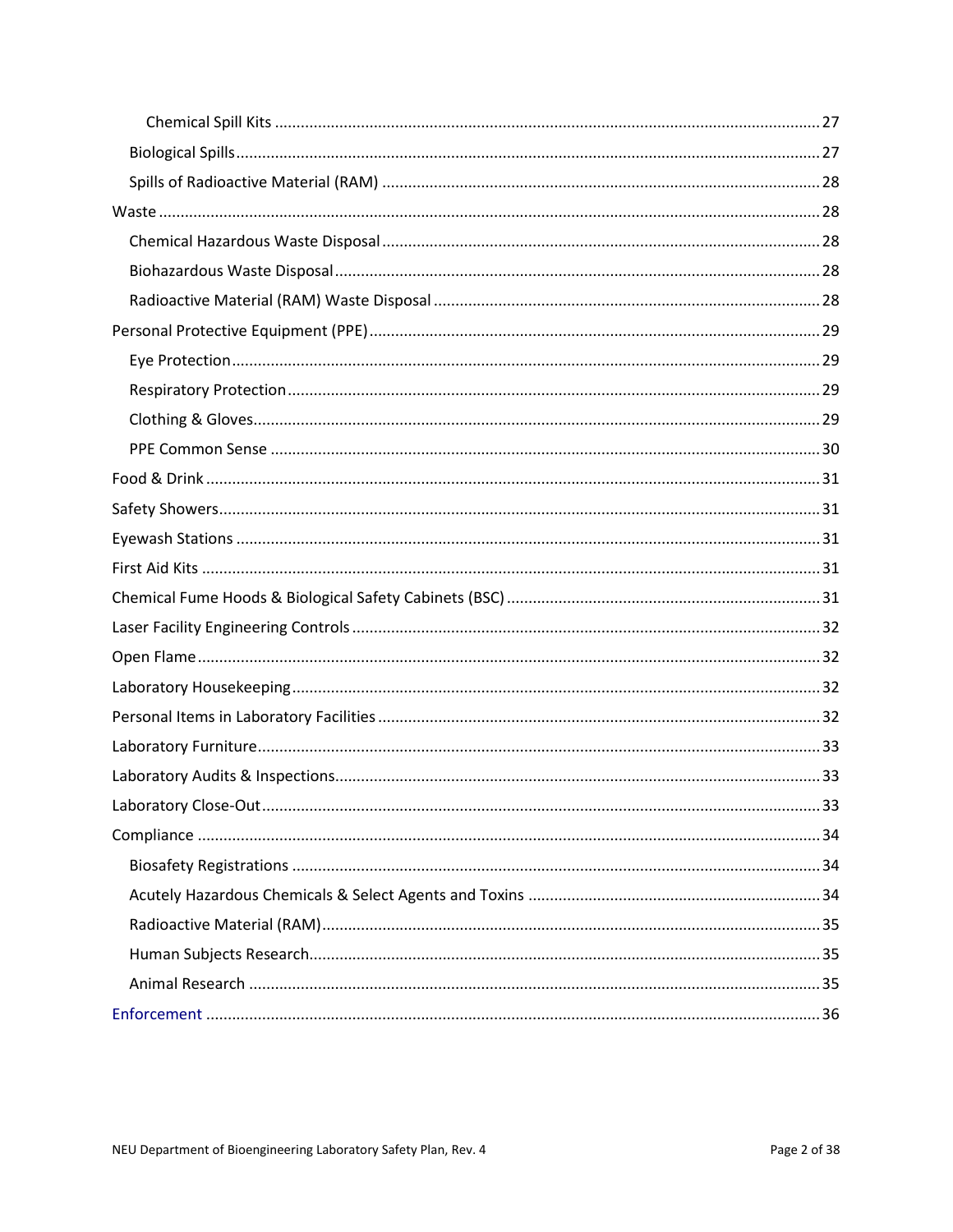| 33 |
|----|
|    |
|    |
|    |
|    |
|    |
|    |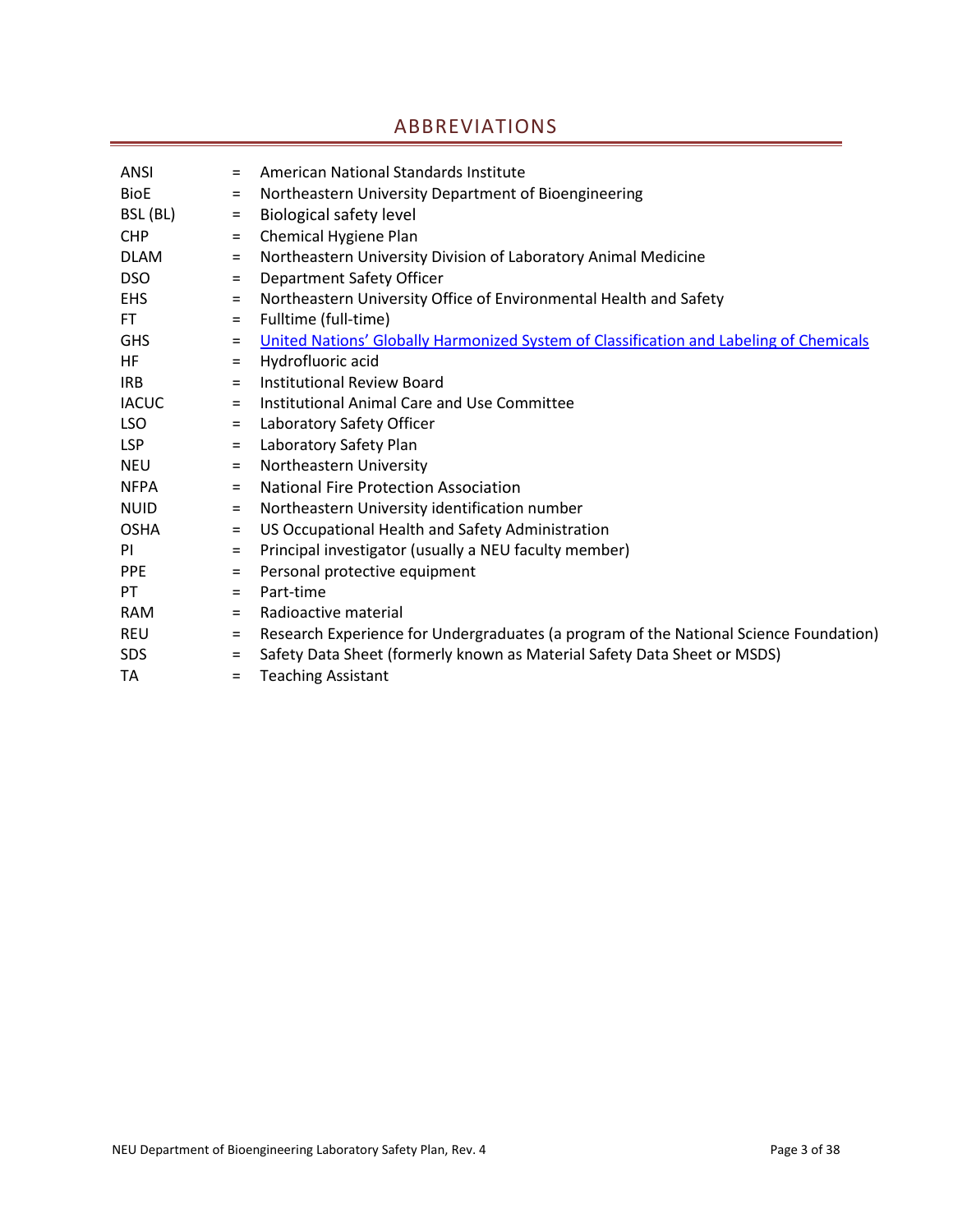# ABBREVIATIONS

<span id="page-3-0"></span>

| ANSI         | $=$      | American National Standards Institute                                                  |
|--------------|----------|----------------------------------------------------------------------------------------|
| <b>BioE</b>  | $=$      | Northeastern University Department of Bioengineering                                   |
| BSL (BL)     | $\equiv$ | <b>Biological safety level</b>                                                         |
| <b>CHP</b>   | $\equiv$ | Chemical Hygiene Plan                                                                  |
| <b>DLAM</b>  | $=$      | Northeastern University Division of Laboratory Animal Medicine                         |
| <b>DSO</b>   | $\equiv$ | Department Safety Officer                                                              |
| <b>EHS</b>   | $\equiv$ | Northeastern University Office of Environmental Health and Safety                      |
| <b>FT</b>    | $\equiv$ | Fulltime (full-time)                                                                   |
| <b>GHS</b>   | $=$      | United Nations' Globally Harmonized System of Classification and Labeling of Chemicals |
| HF           | $=$      | Hydrofluoric acid                                                                      |
| <b>IRB</b>   | $=$      | <b>Institutional Review Board</b>                                                      |
| <b>IACUC</b> | $=$      | Institutional Animal Care and Use Committee                                            |
| <b>LSO</b>   | $=$      | Laboratory Safety Officer                                                              |
| <b>LSP</b>   | $\equiv$ | Laboratory Safety Plan                                                                 |
| <b>NEU</b>   | $=$      | Northeastern University                                                                |
| <b>NFPA</b>  | $=$      | <b>National Fire Protection Association</b>                                            |
| <b>NUID</b>  | $=$      | Northeastern University identification number                                          |
| <b>OSHA</b>  | $=$      | US Occupational Health and Safety Administration                                       |
| <b>PI</b>    | $\equiv$ | Principal investigator (usually a NEU faculty member)                                  |
| <b>PPE</b>   | $\equiv$ | Personal protective equipment                                                          |
| PT.          | $=$      | Part-time                                                                              |
| <b>RAM</b>   | $=$      | Radioactive material                                                                   |
| REU          | $=$      | Research Experience for Undergraduates (a program of the National Science Foundation)  |
| <b>SDS</b>   | $\equiv$ | Safety Data Sheet (formerly known as Material Safety Data Sheet or MSDS)               |
| TA           | $=$      | <b>Teaching Assistant</b>                                                              |
|              |          |                                                                                        |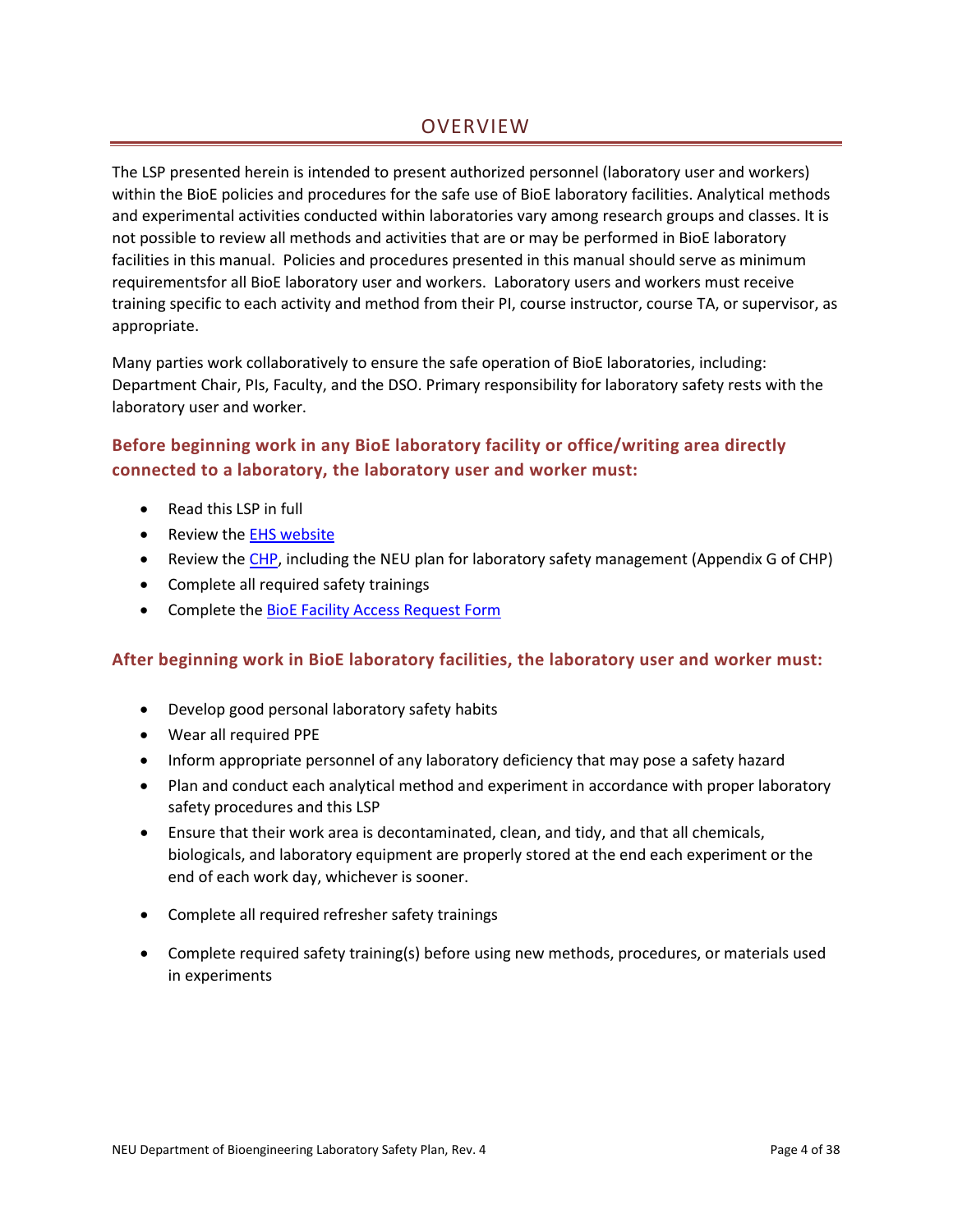# **OVERVIEW**

<span id="page-4-0"></span>The LSP presented herein is intended to present authorized personnel (laboratory user and workers) within the BioE policies and procedures for the safe use of BioE laboratory facilities. Analytical methods and experimental activities conducted within laboratories vary among research groups and classes. It is not possible to review all methods and activities that are or may be performed in BioE laboratory facilities in this manual. Policies and procedures presented in this manual should serve as minimum requirementsfor all BioE laboratory user and workers. Laboratory users and workers must receive training specific to each activity and method from their PI, course instructor, course TA, or supervisor, as appropriate.

Many parties work collaboratively to ensure the safe operation of BioE laboratories, including: Department Chair, PIs, Faculty, and the DSO. Primary responsibility for laboratory safety rests with the laboratory user and worker.

## **Before beginning work in any BioE laboratory facility or office/writing area directly connected to a laboratory, the laboratory user and worker must:**

- Read this LSP in full
- Review the [EHS website](https://www.northeastern.edu/ehs)
- Review the [CHP,](https://www.northeastern.edu/ehs/ehs-programs/laboratory-safety/chemical-hygiene/chemical-hygiene-plan/) including the NEU plan for laboratory safety management (Appendix G of CHP)
- Complete all required safety trainings
- Complete the [BioE Facility](http://www.bioe.neu.edu/sites/default/files/20180614_bioe_access_request_form_fillable.pdf) Access Request Form

## **After beginning work in BioE laboratory facilities, the laboratory user and worker must:**

- Develop good personal laboratory safety habits
- Wear all required PPE
- Inform appropriate personnel of any laboratory deficiency that may pose a safety hazard
- Plan and conduct each analytical method and experiment in accordance with proper laboratory safety procedures and this LSP
- Ensure that their work area is decontaminated, clean, and tidy, and that all chemicals, biologicals, and laboratory equipment are properly stored at the end each experiment or the end of each work day, whichever is sooner.
- Complete all required refresher safety trainings
- Complete required safety training(s) before using new methods, procedures, or materials used in experiments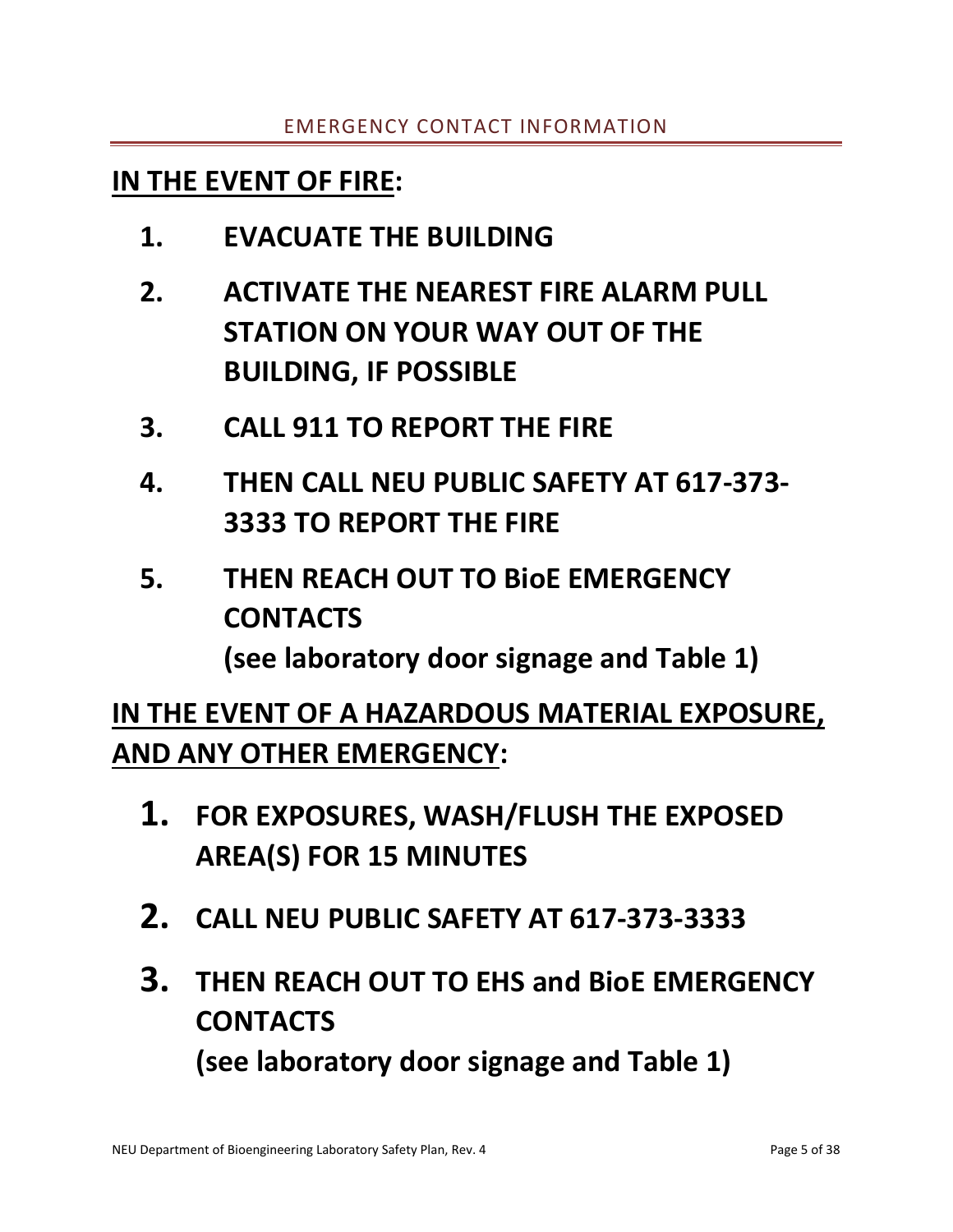# <span id="page-5-0"></span>**IN THE EVENT OF FIRE:**

- **1. EVACUATE THE BUILDING**
- **2. ACTIVATE THE NEAREST FIRE ALARM PULL STATION ON YOUR WAY OUT OF THE BUILDING, IF POSSIBLE**
- **3. CALL 911 TO REPORT THE FIRE**
- **4. THEN CALL NEU PUBLIC SAFETY AT 617-373- 3333 TO REPORT THE FIRE**
- **5. THEN REACH OUT TO BioE EMERGENCY CONTACTS (see laboratory door signage and Table 1)**

# **IN THE EVENT OF A HAZARDOUS MATERIAL EXPOSURE, AND ANY OTHER EMERGENCY:**

- **1. FOR EXPOSURES, WASH/FLUSH THE EXPOSED AREA(S) FOR 15 MINUTES**
- **2. CALL NEU PUBLIC SAFETY AT 617-373-3333**
- **3. THEN REACH OUT TO EHS and BioE EMERGENCY CONTACTS (see laboratory door signage and Table 1)**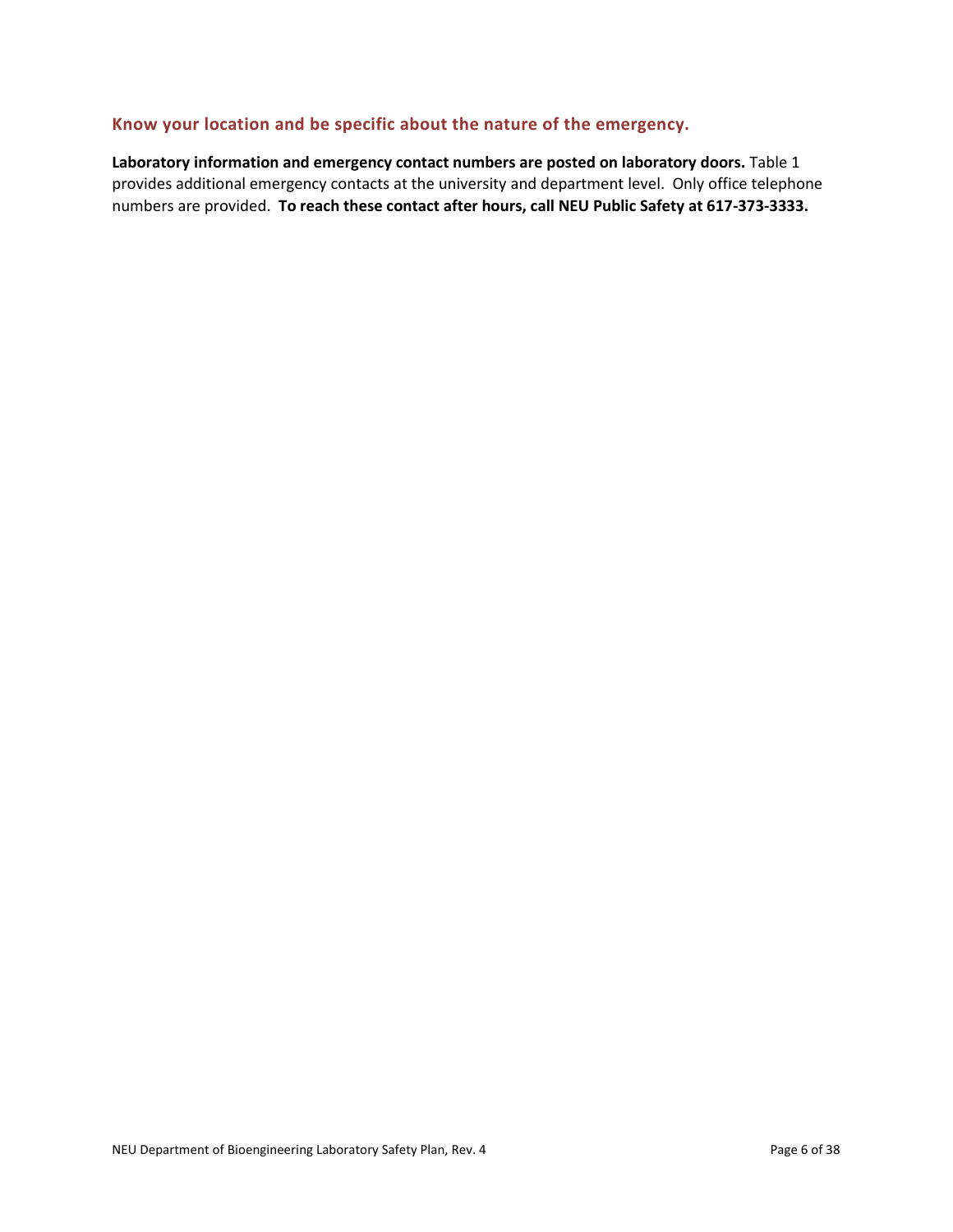## **Know your location and be specific about the nature of the emergency.**

**Laboratory information and emergency contact numbers are posted on laboratory doors.** Table 1 provides additional emergency contacts at the university and department level. Only office telephone numbers are provided. **To reach these contact after hours, call NEU Public Safety at 617-373-3333.**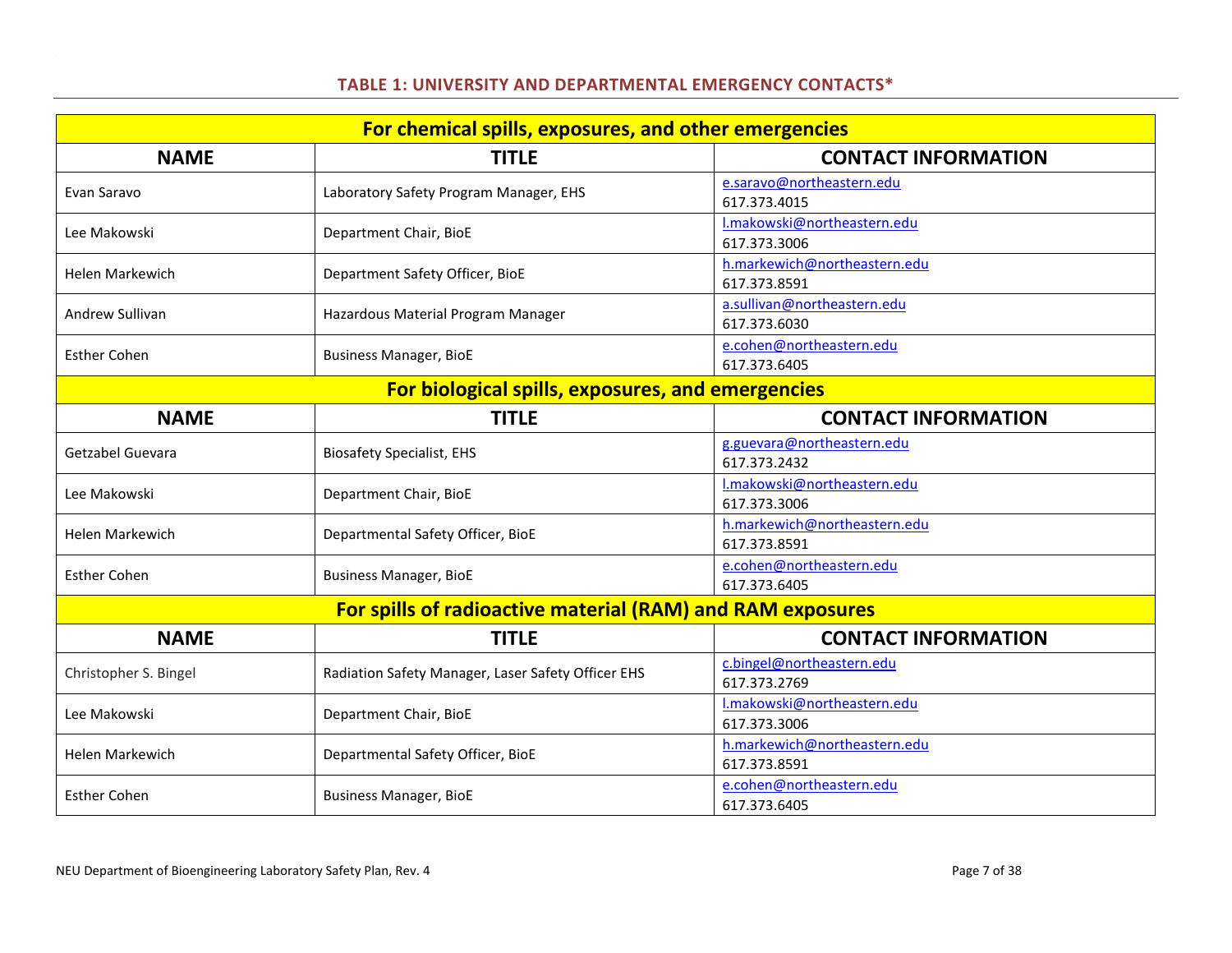## **TABLE 1: UNIVERSITY AND DEPARTMENTAL EMERGENCY CONTACTS\***

<span id="page-7-0"></span>

| For chemical spills, exposures, and other emergencies      |                                                    |                                              |  |  |
|------------------------------------------------------------|----------------------------------------------------|----------------------------------------------|--|--|
| <b>NAME</b>                                                | <b>TITLE</b>                                       | <b>CONTACT INFORMATION</b>                   |  |  |
| Evan Saravo                                                | Laboratory Safety Program Manager, EHS             | e.saravo@northeastern.edu                    |  |  |
|                                                            |                                                    | 617.373.4015                                 |  |  |
| Lee Makowski                                               | Department Chair, BioE                             | I.makowski@northeastern.edu                  |  |  |
|                                                            |                                                    | 617.373.3006                                 |  |  |
| Helen Markewich                                            | Department Safety Officer, BioE                    | h.markewich@northeastern.edu<br>617.373.8591 |  |  |
|                                                            |                                                    | a.sullivan@northeastern.edu                  |  |  |
| Andrew Sullivan                                            | Hazardous Material Program Manager                 | 617.373.6030                                 |  |  |
| <b>Esther Cohen</b>                                        | <b>Business Manager, BioE</b>                      | e.cohen@northeastern.edu                     |  |  |
|                                                            |                                                    | 617.373.6405                                 |  |  |
|                                                            | For biological spills, exposures, and emergencies  |                                              |  |  |
| <b>NAME</b>                                                | <b>TITLE</b>                                       | <b>CONTACT INFORMATION</b>                   |  |  |
| Getzabel Guevara                                           | <b>Biosafety Specialist, EHS</b>                   | g.guevara@northeastern.edu                   |  |  |
|                                                            |                                                    | 617.373.2432                                 |  |  |
| Lee Makowski                                               | Department Chair, BioE                             | I.makowski@northeastern.edu                  |  |  |
|                                                            |                                                    | 617.373.3006                                 |  |  |
| <b>Helen Markewich</b>                                     | Departmental Safety Officer, BioE                  | h.markewich@northeastern.edu                 |  |  |
|                                                            |                                                    | 617.373.8591<br>e.cohen@northeastern.edu     |  |  |
| <b>Esther Cohen</b>                                        | <b>Business Manager, BioE</b>                      | 617.373.6405                                 |  |  |
|                                                            |                                                    |                                              |  |  |
| For spills of radioactive material (RAM) and RAM exposures |                                                    |                                              |  |  |
| <b>NAME</b>                                                | <b>TITLE</b>                                       | <b>CONTACT INFORMATION</b>                   |  |  |
| Christopher S. Bingel                                      | Radiation Safety Manager, Laser Safety Officer EHS | c.bingel@northeastern.edu                    |  |  |
|                                                            |                                                    | 617.373.2769                                 |  |  |
| Lee Makowski                                               | Department Chair, BioE                             | I.makowski@northeastern.edu<br>617.373.3006  |  |  |
|                                                            |                                                    | h.markewich@northeastern.edu                 |  |  |
| <b>Helen Markewich</b>                                     | Departmental Safety Officer, BioE                  | 617.373.8591                                 |  |  |
|                                                            |                                                    | e.cohen@northeastern.edu                     |  |  |
| <b>Esther Cohen</b>                                        | <b>Business Manager, BioE</b>                      | 617.373.6405                                 |  |  |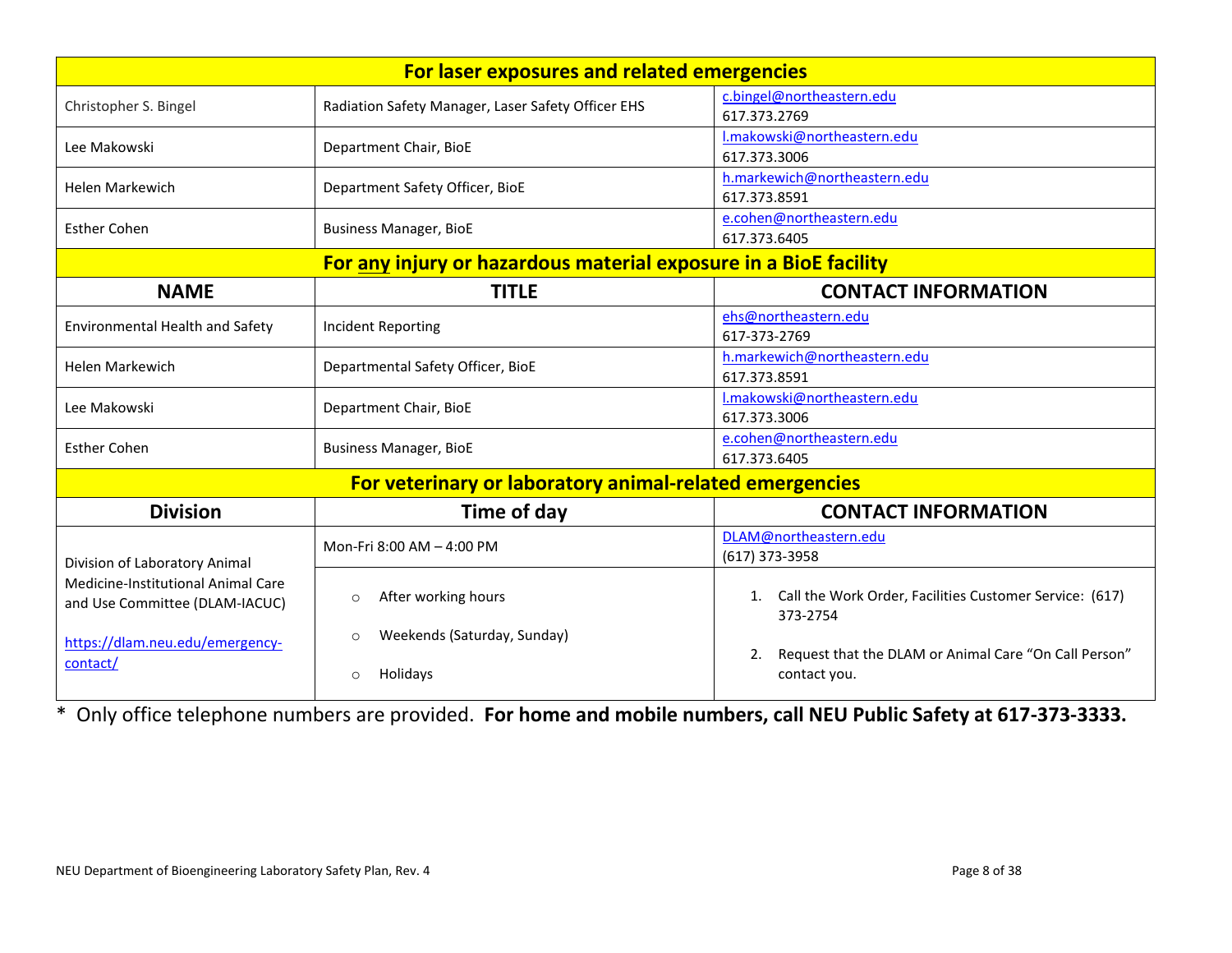| For laser exposures and related emergencies                          |                                                               |                                                                             |  |
|----------------------------------------------------------------------|---------------------------------------------------------------|-----------------------------------------------------------------------------|--|
| Christopher S. Bingel                                                | Radiation Safety Manager, Laser Safety Officer EHS            | c.bingel@northeastern.edu<br>617.373.2769                                   |  |
| Lee Makowski                                                         | Department Chair, BioE                                        | I.makowski@northeastern.edu<br>617.373.3006                                 |  |
| <b>Helen Markewich</b>                                               | Department Safety Officer, BioE                               | h.markewich@northeastern.edu<br>617.373.8591                                |  |
| <b>Esther Cohen</b>                                                  | <b>Business Manager, BioE</b>                                 | e.cohen@northeastern.edu<br>617.373.6405                                    |  |
| For any injury or hazardous material exposure in a BioE facility     |                                                               |                                                                             |  |
| <b>NAME</b>                                                          | <b>TITLE</b>                                                  | <b>CONTACT INFORMATION</b>                                                  |  |
| <b>Environmental Health and Safety</b>                               | <b>Incident Reporting</b>                                     | ehs@northeastern.edu<br>617-373-2769                                        |  |
| <b>Helen Markewich</b>                                               | Departmental Safety Officer, BioE                             | h.markewich@northeastern.edu<br>617.373.8591                                |  |
| Lee Makowski                                                         | Department Chair, BioE                                        | I.makowski@northeastern.edu<br>617.373.3006                                 |  |
| <b>Esther Cohen</b>                                                  | <b>Business Manager, BioE</b>                                 | e.cohen@northeastern.edu<br>617.373.6405                                    |  |
|                                                                      | For veterinary or laboratory animal-related emergencies       |                                                                             |  |
| <b>Division</b>                                                      | Time of day                                                   | <b>CONTACT INFORMATION</b>                                                  |  |
| Division of Laboratory Animal                                        | Mon-Fri 8:00 AM - 4:00 PM                                     | DLAM@northeastern.edu<br>(617) 373-3958                                     |  |
| Medicine-Institutional Animal Care<br>and Use Committee (DLAM-IACUC) | After working hours<br>$\circ$                                | Call the Work Order, Facilities Customer Service: (617)<br>1.<br>373-2754   |  |
| https://dlam.neu.edu/emergency-<br>contact/                          | Weekends (Saturday, Sunday)<br>$\circ$<br>Holidays<br>$\circ$ | Request that the DLAM or Animal Care "On Call Person"<br>2.<br>contact you. |  |

\* Only office telephone numbers are provided. **For home and mobile numbers, call NEU Public Safety at 617-373-3333.**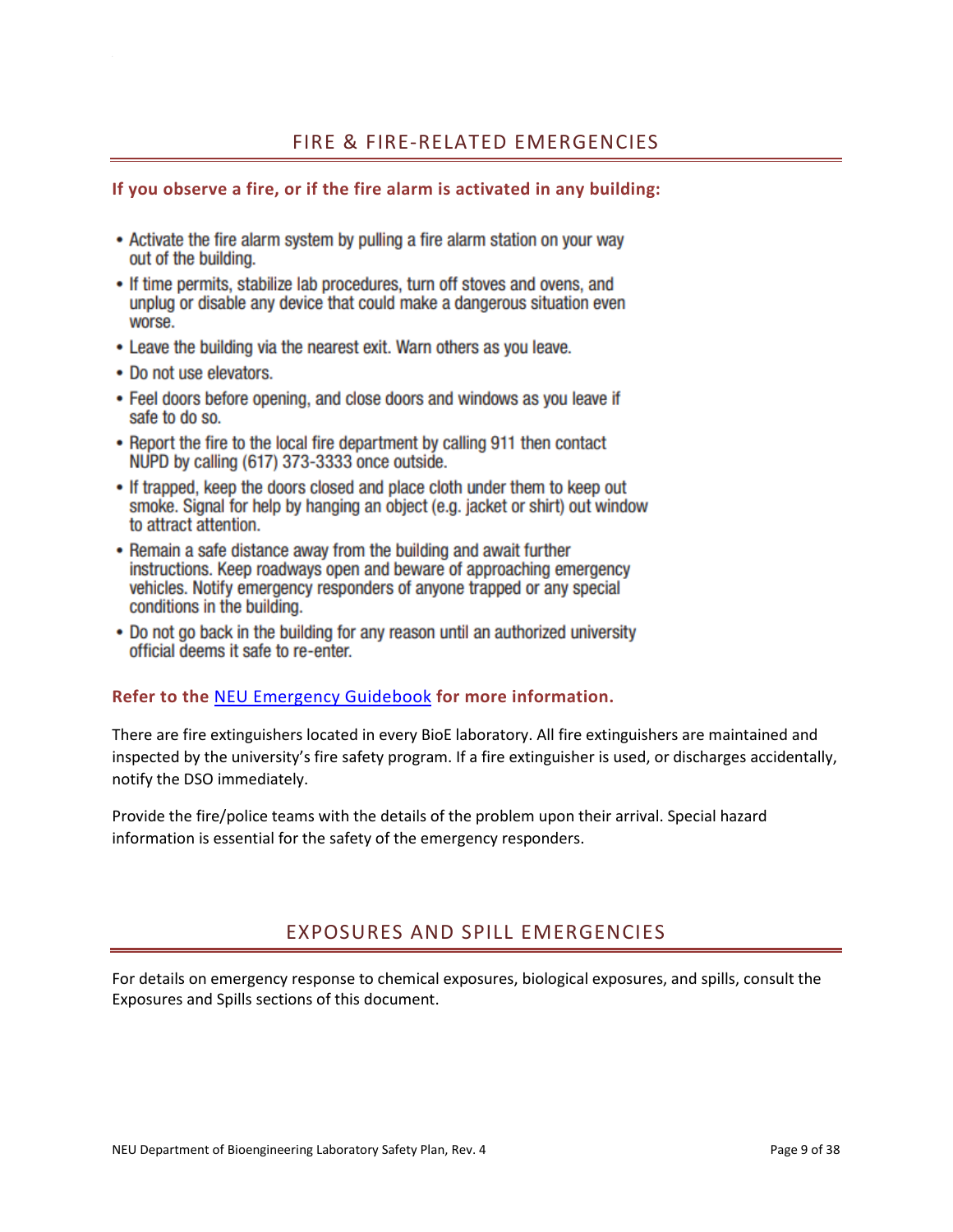## <span id="page-9-0"></span>**If you observe a fire, or if the fire alarm is activated in any building:**

- Activate the fire alarm system by pulling a fire alarm station on your way out of the building.
- If time permits, stabilize lab procedures, turn off stoves and ovens, and unplug or disable any device that could make a dangerous situation even worse.
- Leave the building via the nearest exit. Warn others as you leave.
- Do not use elevators.
- Feel doors before opening, and close doors and windows as you leave if safe to do so.
- Report the fire to the local fire department by calling 911 then contact NUPD by calling (617) 373-3333 once outside.
- If trapped, keep the doors closed and place cloth under them to keep out smoke. Signal for help by hanging an object (e.g. jacket or shirt) out window to attract attention.
- Remain a safe distance away from the building and await further instructions. Keep roadways open and beware of approaching emergency vehicles. Notify emergency responders of anyone trapped or any special conditions in the building.
- Do not go back in the building for any reason until an authorized university official deems it safe to re-enter.

## **Refer to the** [NEU Emergency Guidebook](https://nupd.northeastern.edu/wp-content/uploads/NU-Emergency-Guidebook.pdf) **for more information.**

There are fire extinguishers located in every BioE laboratory. All fire extinguishers are maintained and inspected by the university's fire safety program. If a fire extinguisher is used, or discharges accidentally, notify the DSO immediately.

Provide the fire/police teams with the details of the problem upon their arrival. Special hazard information is essential for the safety of the emergency responders.

# EXPOSURES AND SPILL EMERGENCIES

<span id="page-9-1"></span>For details on emergency response to chemical exposures, biological exposures, and spills, consult the Exposures and Spills sections of this document.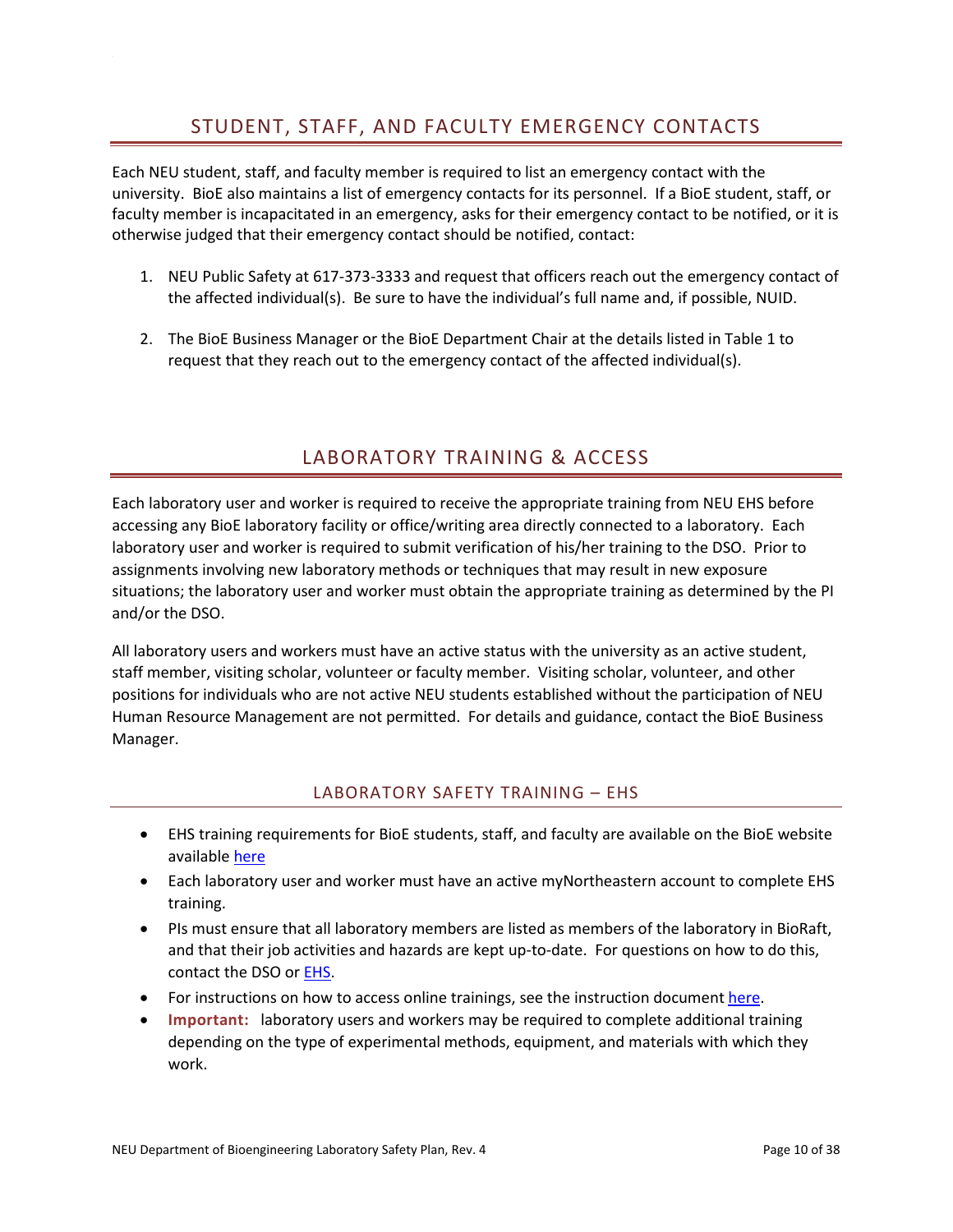# STUDENT, STAFF, AND FACULTY EMERGENCY CONTACTS

<span id="page-10-0"></span>Each NEU student, staff, and faculty member is required to list an emergency contact with the university. BioE also maintains a list of emergency contacts for its personnel. If a BioE student, staff, or faculty member is incapacitated in an emergency, asks for their emergency contact to be notified, or it is otherwise judged that their emergency contact should be notified, contact:

- 1. NEU Public Safety at 617-373-3333 and request that officers reach out the emergency contact of the affected individual(s). Be sure to have the individual's full name and, if possible, NUID.
- 2. The BioE Business Manager or the BioE Department Chair at the details listed in Table 1 to request that they reach out to the emergency contact of the affected individual(s).

# LABORATORY TRAINING & ACCESS

<span id="page-10-1"></span>Each laboratory user and worker is required to receive the appropriate training from NEU EHS before accessing any BioE laboratory facility or office/writing area directly connected to a laboratory. Each laboratory user and worker is required to submit verification of his/her training to the DSO. Prior to assignments involving new laboratory methods or techniques that may result in new exposure situations; the laboratory user and worker must obtain the appropriate training as determined by the PI and/or the DSO.

All laboratory users and workers must have an active status with the university as an active student, staff member, visiting scholar, volunteer or faculty member. Visiting scholar, volunteer, and other positions for individuals who are not active NEU students established without the participation of NEU Human Resource Management are not permitted. For details and guidance, contact the BioE Business Manager.

#### LABORATORY SAFETY TRAINING – EHS

- <span id="page-10-2"></span>• EHS training requirements for BioE students, staff, and faculty are available on the BioE website available [here](http://www.bioe.neu.edu/bioe/about/forms)
- Each laboratory user and worker must have an active myNortheastern account to complete EHS training.
- PIs must ensure that all laboratory members are listed as members of the laboratory in BioRaft, and that their job activities and hazards are kept up-to-date. For questions on how to do this, contact the DSO or [EHS.](mailto:ehs@northeastern.edu)
- For instructions on how to access online trainings, see the instruction document [here.](http://www.bioe.neu.edu/bioe/about/forms)
- **Important:** laboratory users and workers may be required to complete additional training depending on the type of experimental methods, equipment, and materials with which they work.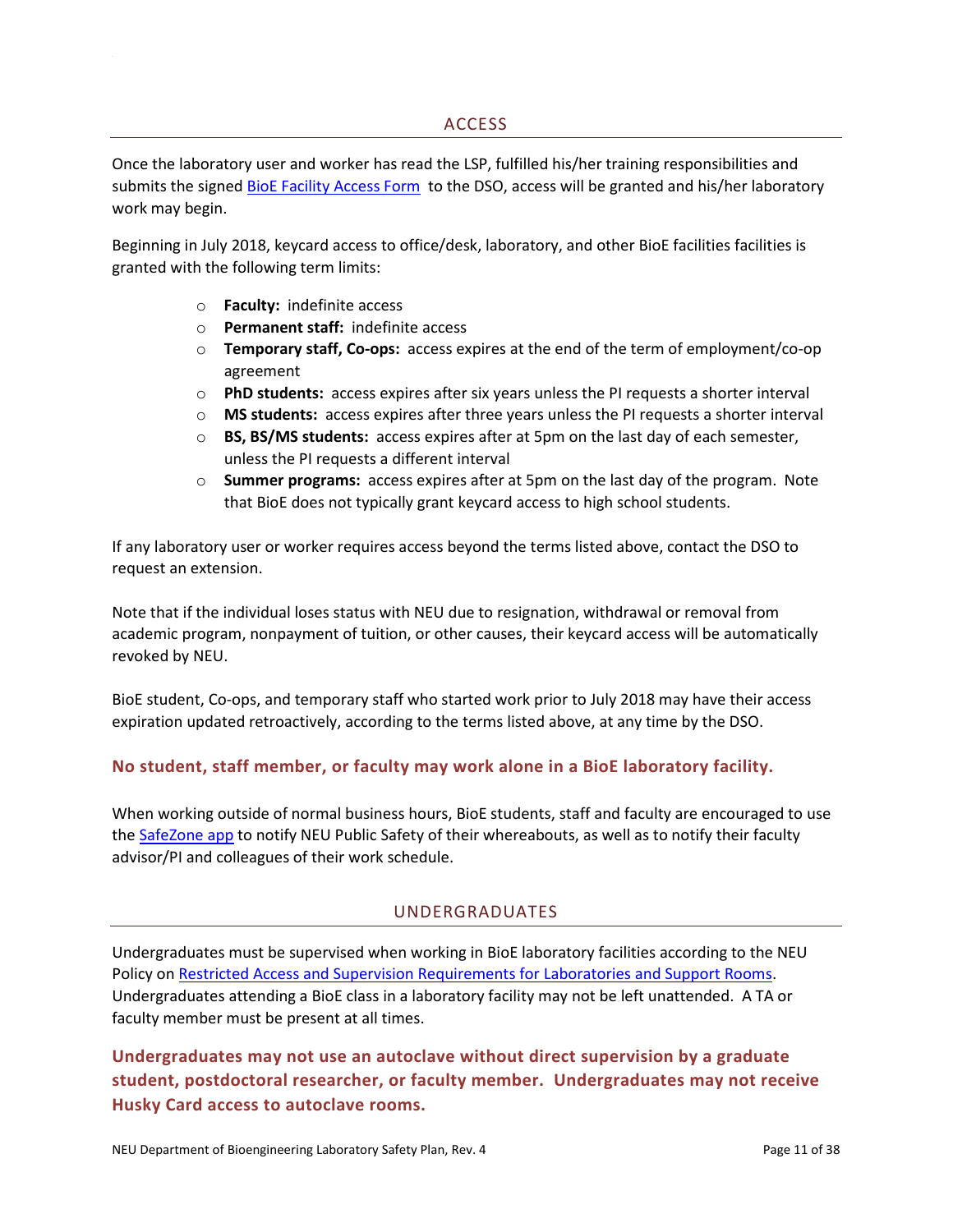<span id="page-11-0"></span>Once the laboratory user and worker has read the LSP, fulfilled his/her training responsibilities and submits the signed BioE Facility [Access Form](http://www.bioe.neu.edu/bioe/about/forms) to the DSO, access will be granted and his/her laboratory work may begin.

Beginning in July 2018, keycard access to office/desk, laboratory, and other BioE facilities facilities is granted with the following term limits:

- o **Faculty:** indefinite access
- o **Permanent staff:** indefinite access
- o **Temporary staff, Co-ops:** access expires at the end of the term of employment/co-op agreement
- o **PhD students:** access expires after six years unless the PI requests a shorter interval
- o **MS students:** access expires after three years unless the PI requests a shorter interval
- o **BS, BS/MS students:** access expires after at 5pm on the last day of each semester, unless the PI requests a different interval
- o **Summer programs:** access expires after at 5pm on the last day of the program. Note that BioE does not typically grant keycard access to high school students.

If any laboratory user or worker requires access beyond the terms listed above, contact the DSO to request an extension.

Note that if the individual loses status with NEU due to resignation, withdrawal or removal from academic program, nonpayment of tuition, or other causes, their keycard access will be automatically revoked by NEU.

BioE student, Co-ops, and temporary staff who started work prior to July 2018 may have their access expiration updated retroactively, according to the terms listed above, at any time by the DSO.

## **No student, staff member, or faculty may work alone in a BioE laboratory facility.**

<span id="page-11-1"></span>When working outside of normal business hours, BioE students, staff and faculty are encouraged to use the [SafeZone app](https://www.safezoneapp.com/how-it-works) to notify NEU Public Safety of their whereabouts, as well as to notify their faculty advisor/PI and colleagues of their work schedule.

#### UNDERGRADUATES

Undergraduates must be supervised when working in BioE laboratory facilities according to the NEU Policy o[n Restricted Access and Supervision Requirements for Laboratories and Support Rooms.](https://www.northeastern.edu/policies/pdfs/Policy_on_Restricted_Access_and_Supervision_Requirements_for_Laboratories_and_Support_Rooms.pdf) Undergraduates attending a BioE class in a laboratory facility may not be left unattended. A TA or faculty member must be present at all times.

**Undergraduates may not use an autoclave without direct supervision by a graduate student, postdoctoral researcher, or faculty member. Undergraduates may not receive Husky Card access to autoclave rooms.**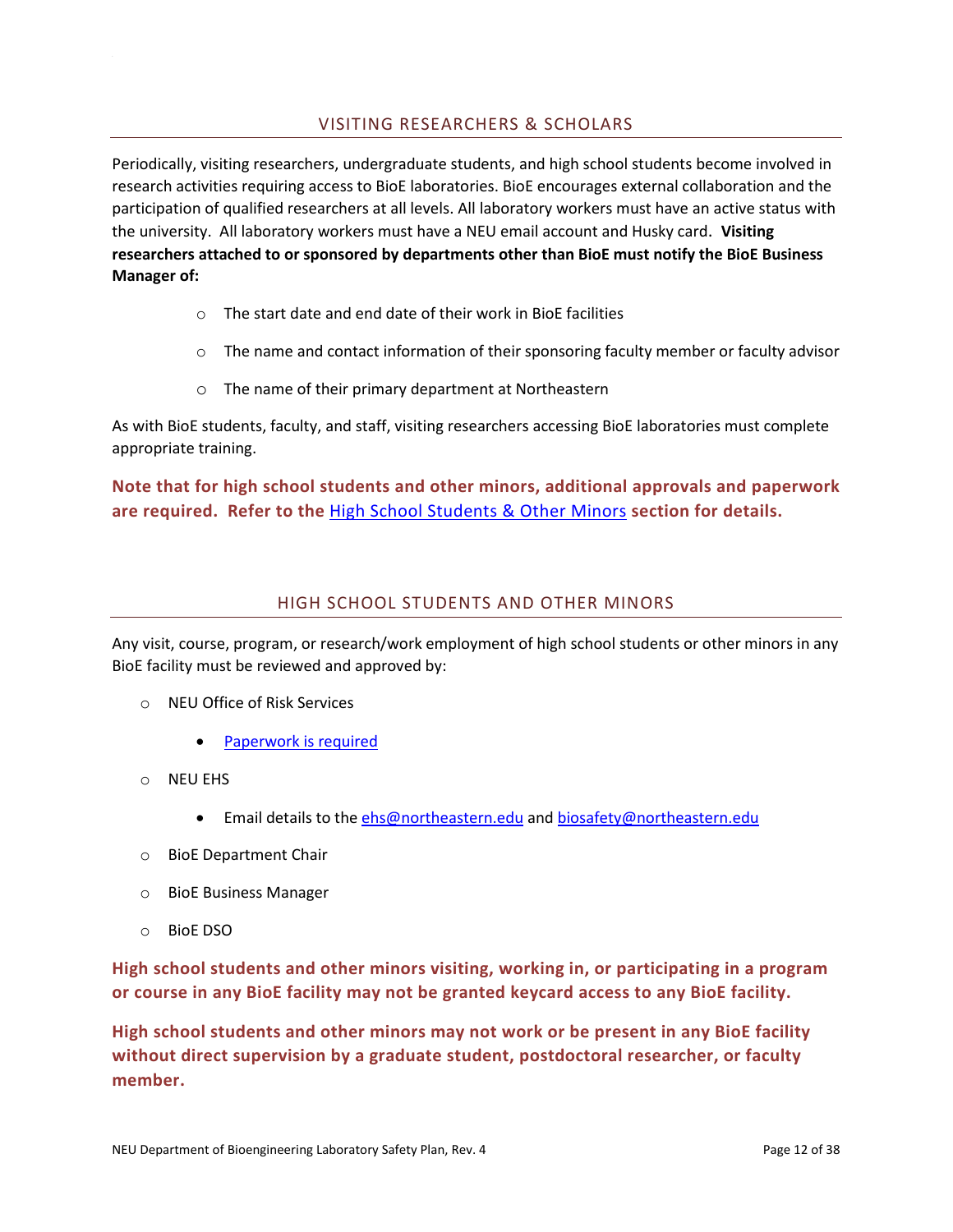## VISITING RESEARCHERS & SCHOLARS

<span id="page-12-0"></span>Periodically, visiting researchers, undergraduate students, and high school students become involved in research activities requiring access to BioE laboratories. BioE encourages external collaboration and the participation of qualified researchers at all levels. All laboratory workers must have an active status with the university. All laboratory workers must have a NEU email account and Husky card. **Visiting researchers attached to or sponsored by departments other than BioE must notify the BioE Business Manager of:**

- o The start date and end date of their work in BioE facilities
- $\circ$  The name and contact information of their sponsoring faculty member or faculty advisor
- o The name of their primary department at Northeastern

As with BioE students, faculty, and staff, visiting researchers accessing BioE laboratories must complete appropriate training.

**Note that for high school students and other minors, additional approvals and paperwork are required. Refer to the** [High School Students & Other Minors](#page-12-1) **section for details.** 

#### HIGH SCHOOL STUDENTS AND OTHER MINORS

<span id="page-12-1"></span>Any visit, course, program, or research/work employment of high school students or other minors in any BioE facility must be reviewed and approved by:

- o NEU Office of Risk Services
	- [Paperwork is required](https://www.northeastern.edu/risk-services/minors-on-campus/)
- o NEU EHS
	- Email details to th[e ehs@northeastern.edu](mailto:ehs@northeastern.edu) and [biosafety@northeastern.edu](mailto:biosafety@northeastern.edu)
- o BioE Department Chair
- o BioE Business Manager
- o BioE DSO

**High school students and other minors visiting, working in, or participating in a program or course in any BioE facility may not be granted keycard access to any BioE facility.** 

**High school students and other minors may not work or be present in any BioE facility without direct supervision by a graduate student, postdoctoral researcher, or faculty member.**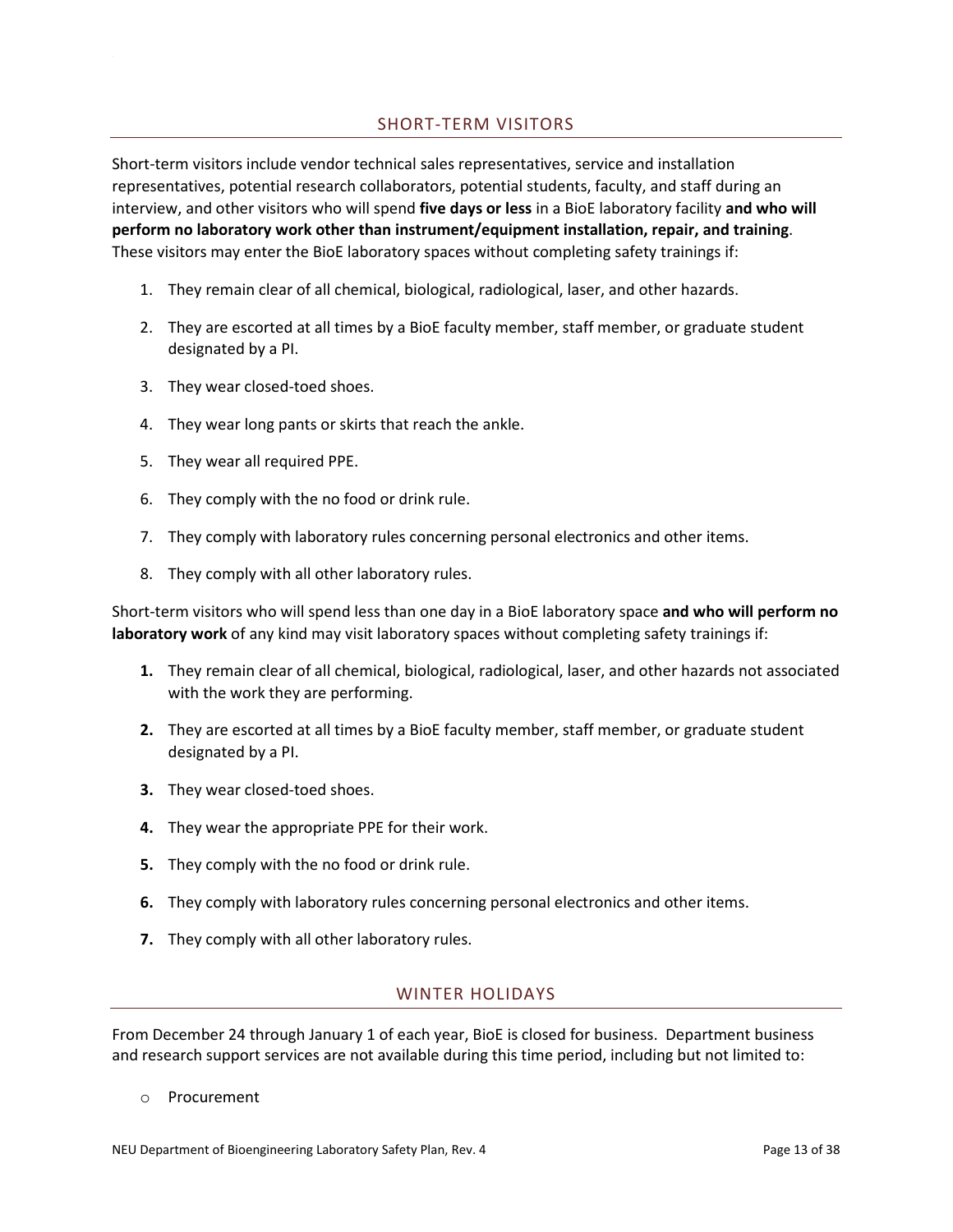## SHORT-TERM VISITORS

<span id="page-13-0"></span>Short-term visitors include vendor technical sales representatives, service and installation representatives, potential research collaborators, potential students, faculty, and staff during an interview, and other visitors who will spend **five days or less** in a BioE laboratory facility **and who will perform no laboratory work other than instrument/equipment installation, repair, and training**. These visitors may enter the BioE laboratory spaces without completing safety trainings if:

- 1. They remain clear of all chemical, biological, radiological, laser, and other hazards.
- 2. They are escorted at all times by a BioE faculty member, staff member, or graduate student designated by a PI.
- 3. They wear closed-toed shoes.
- 4. They wear long pants or skirts that reach the ankle.
- 5. They wear all required PPE.
- 6. They comply with the no food or drink rule.
- 7. They comply with laboratory rules concerning personal electronics and other items.
- 8. They comply with all other laboratory rules.

Short-term visitors who will spend less than one day in a BioE laboratory space **and who will perform no laboratory work** of any kind may visit laboratory spaces without completing safety trainings if:

- **1.** They remain clear of all chemical, biological, radiological, laser, and other hazards not associated with the work they are performing.
- **2.** They are escorted at all times by a BioE faculty member, staff member, or graduate student designated by a PI.
- **3.** They wear closed-toed shoes.
- **4.** They wear the appropriate PPE for their work.
- **5.** They comply with the no food or drink rule.
- **6.** They comply with laboratory rules concerning personal electronics and other items.
- <span id="page-13-1"></span>**7.** They comply with all other laboratory rules.

#### WINTER HOLIDAYS

From December 24 through January 1 of each year, BioE is closed for business. Department business and research support services are not available during this time period, including but not limited to:

o Procurement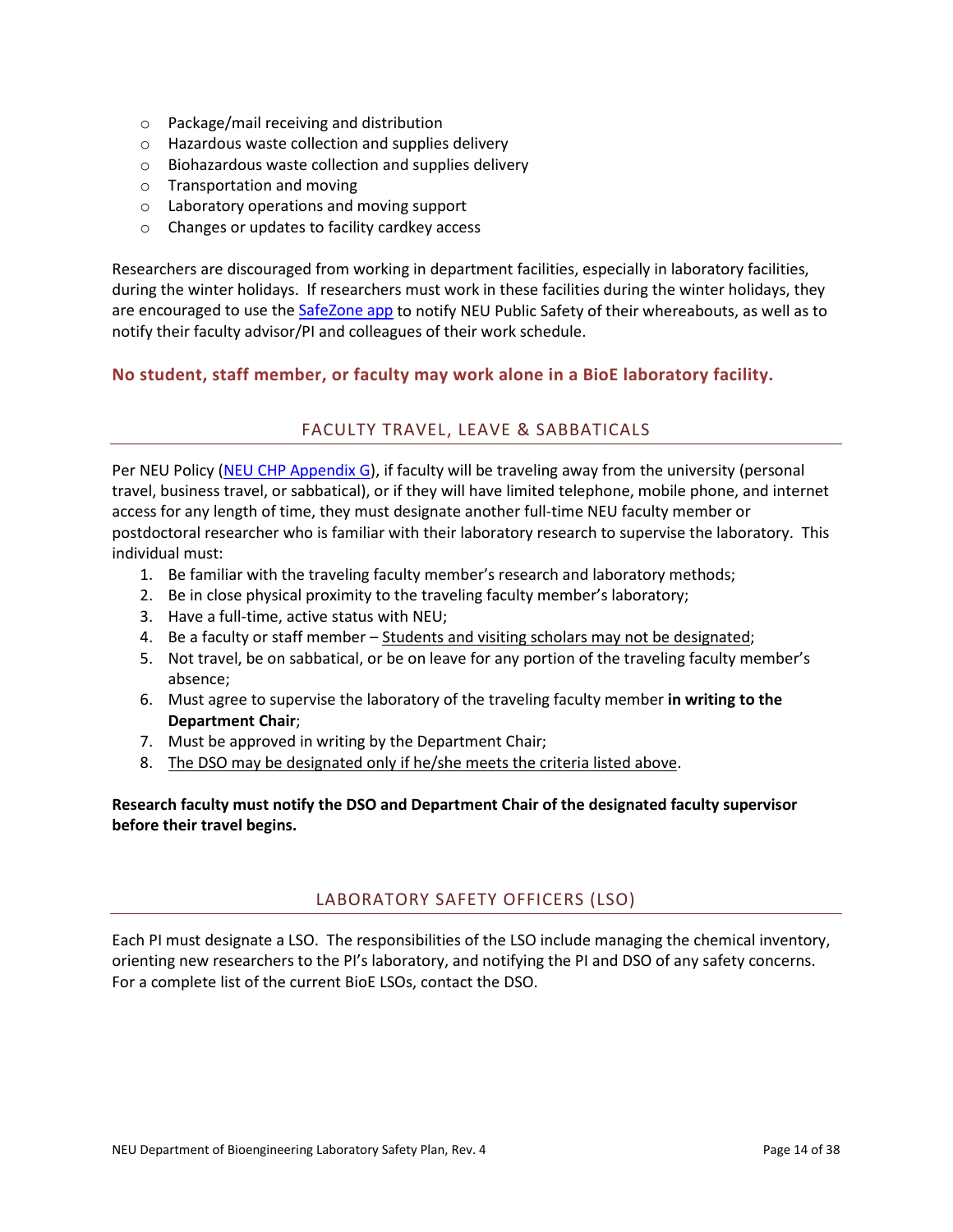- o Package/mail receiving and distribution
- o Hazardous waste collection and supplies delivery
- o Biohazardous waste collection and supplies delivery
- o Transportation and moving
- o Laboratory operations and moving support
- o Changes or updates to facility cardkey access

Researchers are discouraged from working in department facilities, especially in laboratory facilities, during the winter holidays. If researchers must work in these facilities during the winter holidays, they are encouraged to use the [SafeZone app](https://www.safezoneapp.com/how-it-works) to notify NEU Public Safety of their whereabouts, as well as to notify their faculty advisor/PI and colleagues of their work schedule.

### <span id="page-14-0"></span>**No student, staff member, or faculty may work alone in a BioE laboratory facility.**

### FACULTY TRAVEL, LEAVE & SABBATICALS

Per NEU Policy [\(NEU CHP Appendix G\)](https://www.northeastern.edu/ehs/wp-content/uploads/2017/07/Chemical_Hygiene_Plan_2017.pdf), if faculty will be traveling away from the university (personal travel, business travel, or sabbatical), or if they will have limited telephone, mobile phone, and internet access for any length of time, they must designate another full-time NEU faculty member or postdoctoral researcher who is familiar with their laboratory research to supervise the laboratory. This individual must:

- 1. Be familiar with the traveling faculty member's research and laboratory methods;
- 2. Be in close physical proximity to the traveling faculty member's laboratory;
- 3. Have a full-time, active status with NEU;
- 4. Be a faculty or staff member Students and visiting scholars may not be designated;
- 5. Not travel, be on sabbatical, or be on leave for any portion of the traveling faculty member's absence;
- 6. Must agree to supervise the laboratory of the traveling faculty member **in writing to the Department Chair**;
- 7. Must be approved in writing by the Department Chair;
- 8. The DSO may be designated only if he/she meets the criteria listed above.

<span id="page-14-1"></span>**Research faculty must notify the DSO and Department Chair of the designated faculty supervisor before their travel begins.** 

#### LABORATORY SAFETY OFFICERS (LSO)

Each PI must designate a LSO. The responsibilities of the LSO include managing the chemical inventory, orienting new researchers to the PI's laboratory, and notifying the PI and DSO of any safety concerns. For a complete list of the current BioE LSOs, contact the DSO.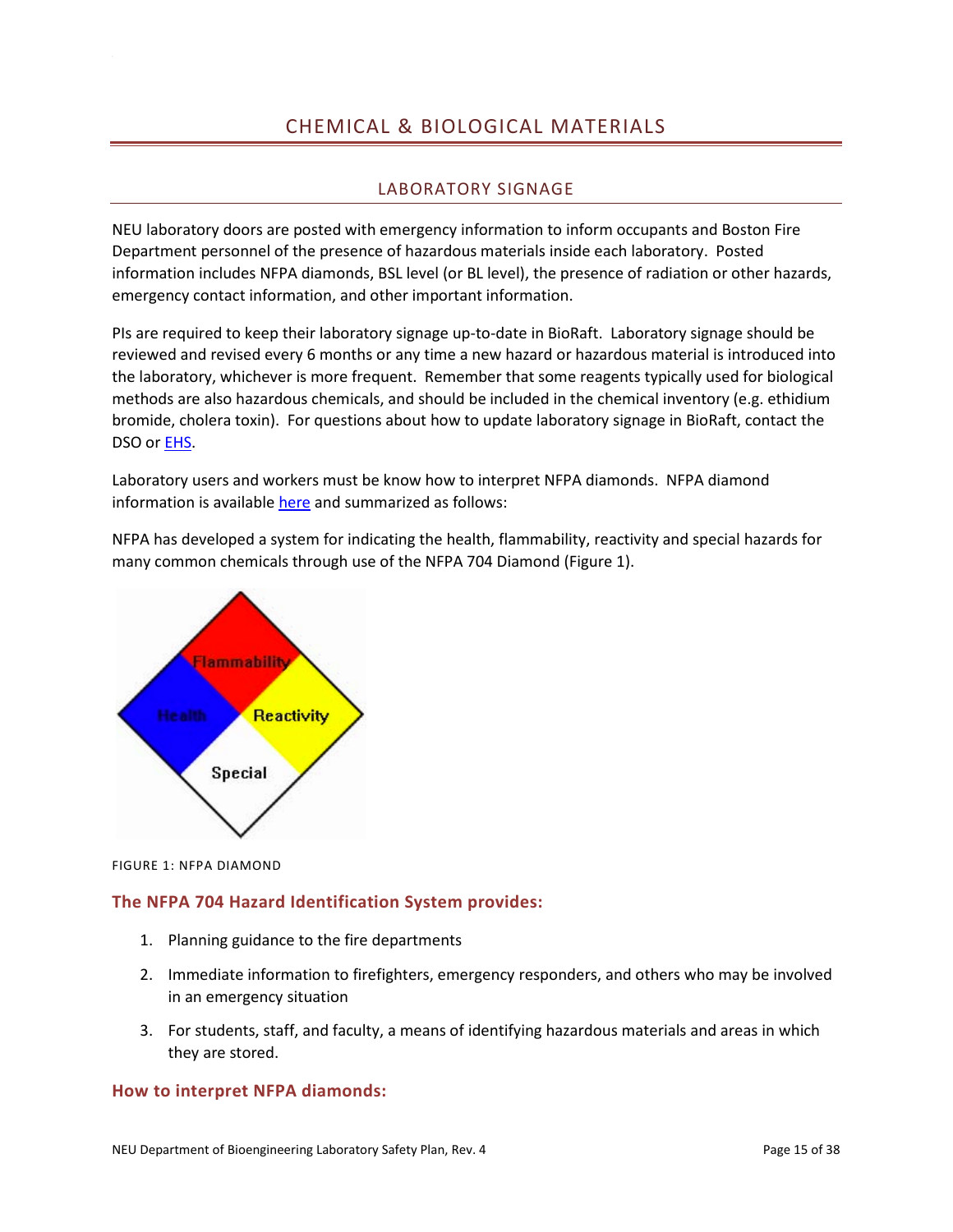# CHEMICAL & BIOLOGICAL MATERIALS

## LABORATORY SIGNAGE

<span id="page-15-1"></span><span id="page-15-0"></span>NEU laboratory doors are posted with emergency information to inform occupants and Boston Fire Department personnel of the presence of hazardous materials inside each laboratory. Posted information includes NFPA diamonds, BSL level (or BL level), the presence of radiation or other hazards, emergency contact information, and other important information.

PIs are required to keep their laboratory signage up-to-date in BioRaft. Laboratory signage should be reviewed and revised every 6 months or any time a new hazard or hazardous material is introduced into the laboratory, whichever is more frequent. Remember that some reagents typically used for biological methods are also hazardous chemicals, and should be included in the chemical inventory (e.g. ethidium bromide, cholera toxin). For questions about how to update laboratory signage in BioRaft, contact the DSO o[r EHS.](mailto:ehs@northeastern.edu)

Laboratory users and workers must be know how to interpret NFPA diamonds. NFPA diamond information is available [here](https://www.northeastern.edu/ehs/ehs-programs/laboratory-safety/general-information/nfpa-hazard-rating-system/) and summarized as follows:

NFPA has developed a system for indicating the health, flammability, reactivity and special hazards for many common chemicals through use of the NFPA 704 Diamond (Figure 1).



FIGURE 1: NFPA DIAMOND

## **The NFPA 704 Hazard Identification System provides:**

- 1. Planning guidance to the fire departments
- 2. Immediate information to firefighters, emergency responders, and others who may be involved in an emergency situation
- 3. For students, staff, and faculty, a means of identifying hazardous materials and areas in which they are stored.

#### **How to interpret NFPA diamonds:**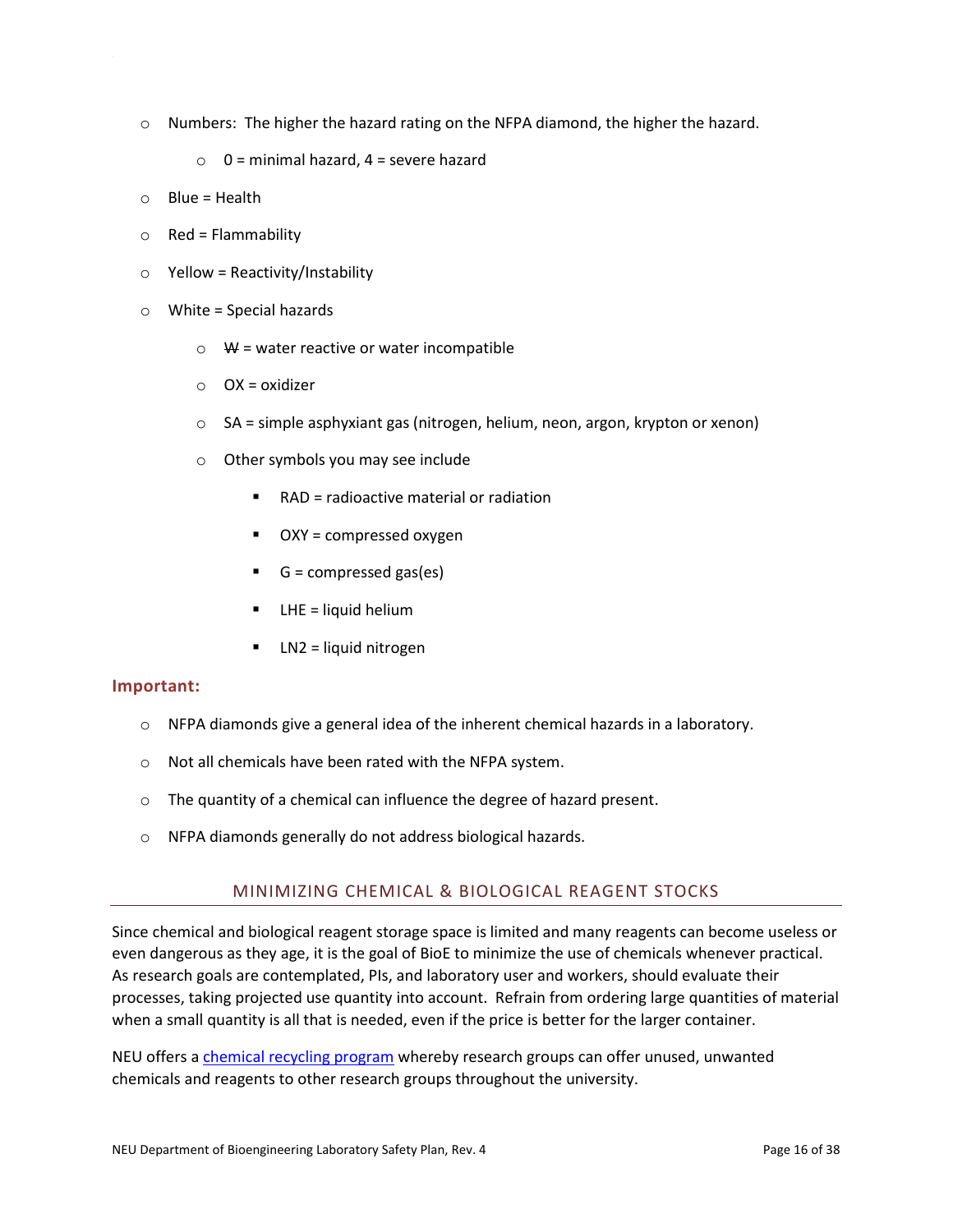- $\circ$  Numbers: The higher the hazard rating on the NFPA diamond, the higher the hazard.
	- $\circ$  0 = minimal hazard, 4 = severe hazard
- $O$  Blue = Health
- $\circ$  Red = Flammability
- $\circ$  Yellow = Reactivity/Instability
- $\circ$  White = Special hazards
	- $\circ$  W = water reactive or water incompatible
	- $O(X = 0)$  OX = oxidizer
	- $\circ$  SA = simple asphyxiant gas (nitrogen, helium, neon, argon, krypton or xenon)
	- o Other symbols you may see include
		- RAD = radioactive material or radiation
		- OXY = compressed oxygen
		- $\blacksquare$  G = compressed gas(es)
		- LHE = liquid helium
		- LN2 = liquid nitrogen

#### **Important:**

- $\circ$  NFPA diamonds give a general idea of the inherent chemical hazards in a laboratory.
- o Not all chemicals have been rated with the NFPA system.
- o The quantity of a chemical can influence the degree of hazard present.
- <span id="page-16-0"></span>o NFPA diamonds generally do not address biological hazards.

#### MINIMIZING CHEMICAL & BIOLOGICAL REAGENT STOCKS

Since chemical and biological reagent storage space is limited and many reagents can become useless or even dangerous as they age, it is the goal of BioE to minimize the use of chemicals whenever practical. As research goals are contemplated, PIs, and laboratory user and workers, should evaluate their processes, taking projected use quantity into account. Refrain from ordering large quantities of material when a small quantity is all that is needed, even if the price is better for the larger container.

NEU offers a *chemical recycling program* whereby research groups can offer unused, unwanted chemicals and reagents to other research groups throughout the university.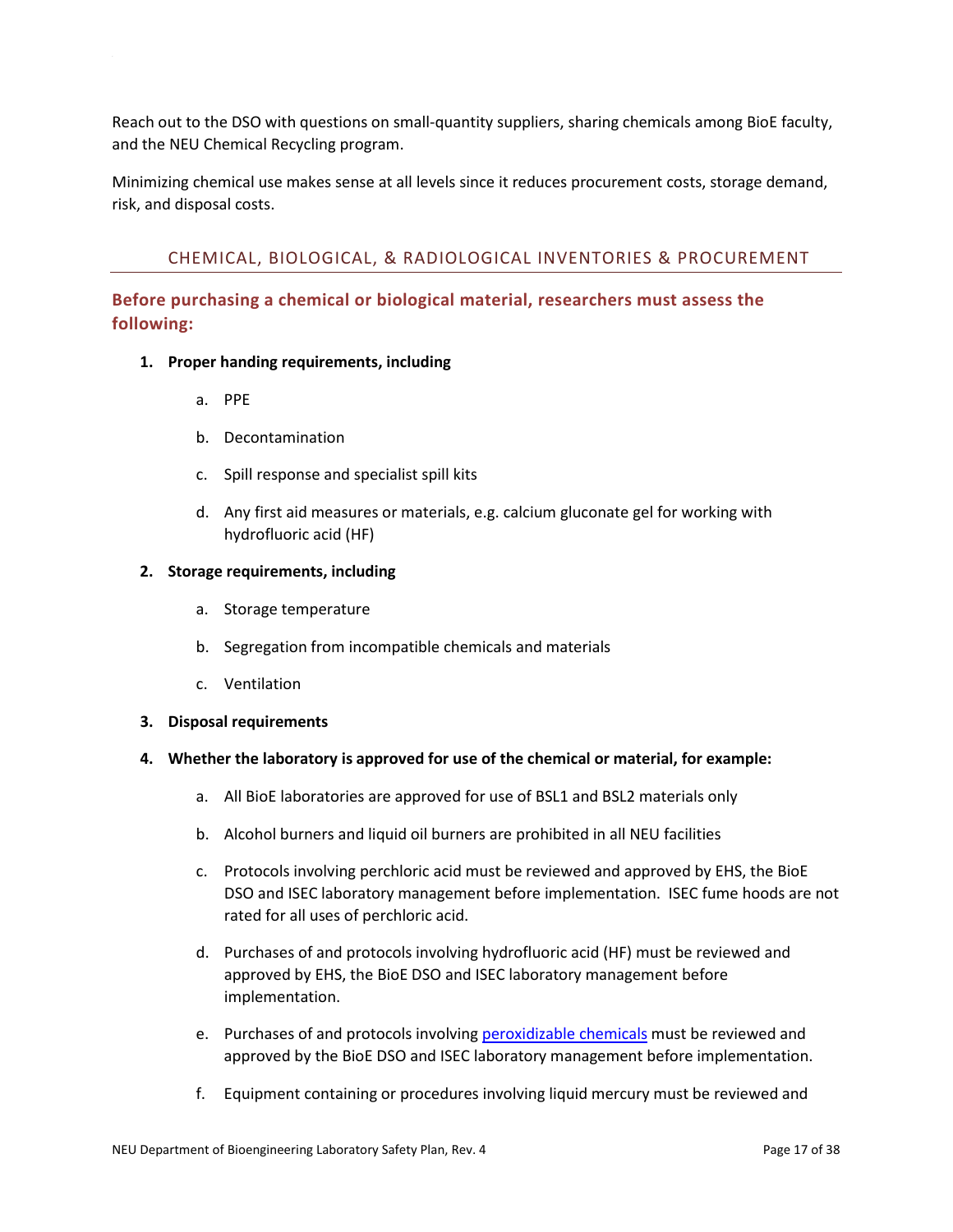Reach out to the DSO with questions on small-quantity suppliers, sharing chemicals among BioE faculty, and the NEU Chemical Recycling program.

Minimizing chemical use makes sense at all levels since it reduces procurement costs, storage demand, risk, and disposal costs.

## <span id="page-17-0"></span>CHEMICAL, BIOLOGICAL, & RADIOLOGICAL INVENTORIES & PROCUREMENT

## **Before purchasing a chemical or biological material, researchers must assess the following:**

- **1. Proper handing requirements, including**
	- a. PPE
	- b. Decontamination
	- c. Spill response and specialist spill kits
	- d. Any first aid measures or materials, e.g. calcium gluconate gel for working with hydrofluoric acid (HF)

#### **2. Storage requirements, including**

- a. Storage temperature
- b. Segregation from incompatible chemicals and materials
- c. Ventilation

#### **3. Disposal requirements**

#### **4. Whether the laboratory is approved for use of the chemical or material, for example:**

- a. All BioE laboratories are approved for use of BSL1 and BSL2 materials only
- b. Alcohol burners and liquid oil burners are prohibited in all NEU facilities
- c. Protocols involving perchloric acid must be reviewed and approved by EHS, the BioE DSO and ISEC laboratory management before implementation. ISEC fume hoods are not rated for all uses of perchloric acid.
- d. Purchases of and protocols involving hydrofluoric acid (HF) must be reviewed and approved by EHS, the BioE DSO and ISEC laboratory management before implementation.
- e. Purchases of and protocols involvin[g peroxidizable chemicals](https://www.northeastern.edu/ehs/ehs-programs/laboratory-safety/fact-sheets/peroxidizable-compounds/) must be reviewed and approved by the BioE DSO and ISEC laboratory management before implementation.
- f. Equipment containing or procedures involving liquid mercury must be reviewed and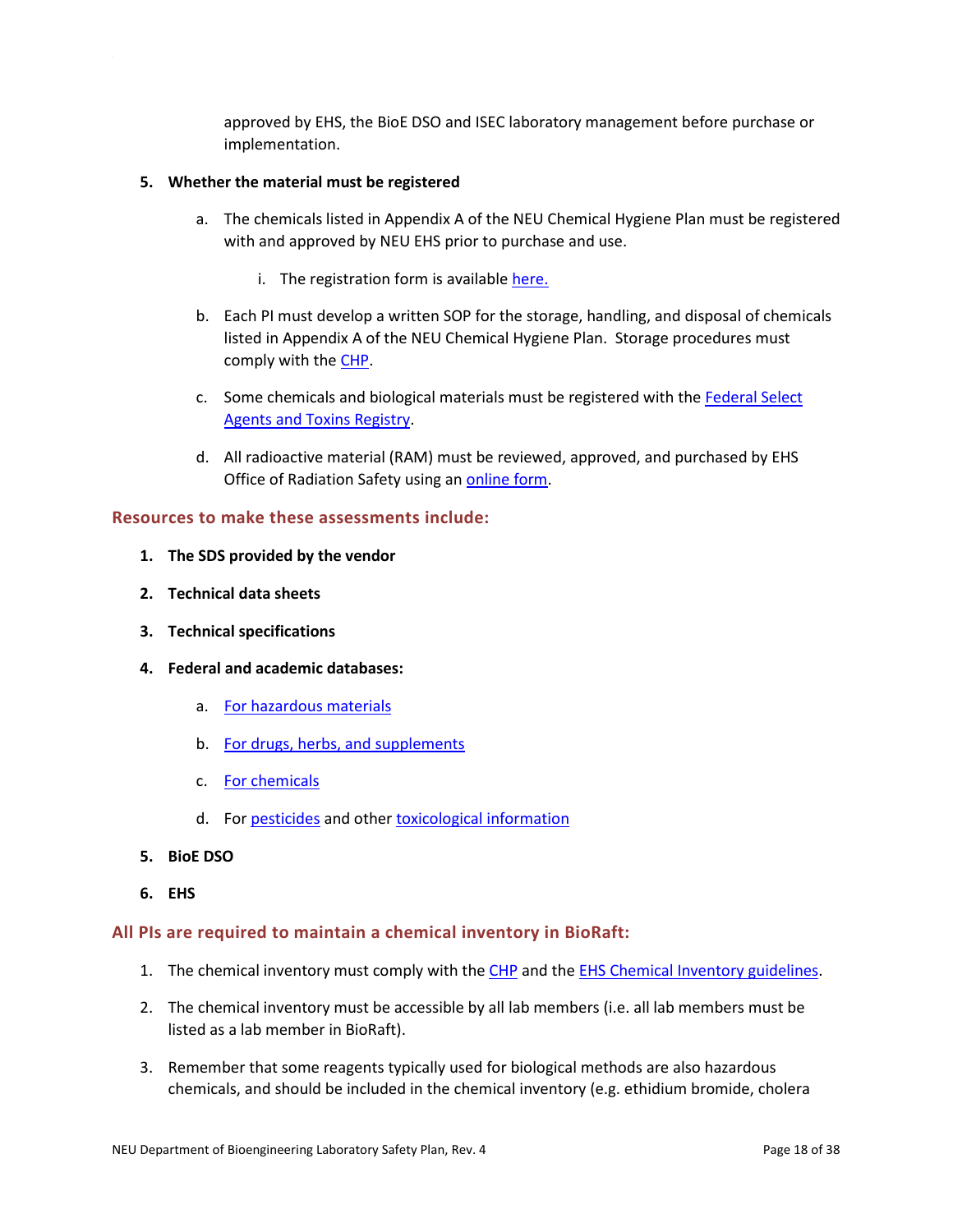approved by EHS, the BioE DSO and ISEC laboratory management before purchase or implementation.

#### **5. Whether the material must be registered**

- a. The chemicals listed in Appendix A of the NEU Chemical Hygiene Plan must be registered with and approved by NEU EHS prior to purchase and use.
	- i. The registration form is available [here.](http://www.northeastern.edu/ehs/wp-content/uploads/2014/12/Hazardous_Chemical_Registration_Form2.doc)
- b. Each PI must develop a written SOP for the storage, handling, and disposal of chemicals listed in Appendix A of the NEU Chemical Hygiene Plan. Storage procedures must comply with the [CHP.](https://www.northeastern.edu/ehs/ehs-programs/laboratory-safety/chemical-hygiene/chemical-hygiene-plan/)
- c. Some chemicals and biological materials must be registered with the [Federal Select](https://www.selectagents.gov/)  [Agents and Toxins Registry.](https://www.selectagents.gov/)
- d. All radioactive material (RAM) must be reviewed, approved, and purchased by EHS Office of Radiation Safety using an [online form.](https://www.northeastern.edu/ehs/ehs-programs/radiation-safety/radioactive-material-order-form/)

#### **Resources to make these assessments include:**

- **1. The SDS provided by the vendor**
- **2. Technical data sheets**
- **3. Technical specifications**
- **4. Federal and academic databases:** 
	- a. [For hazardous materials](http://webwiser.nlm.nih.gov/)
	- b. [For drugs, herbs, and supplements](https://medlineplus.gov/druginformation.html)
	- c. [For chemicals](https://www.cdc.gov/niosh/ipcs/)
	- d. For [pesticides](http://extoxnet.orst.edu/ghindex.html) and othe[r toxicological information](https://www.atsdr.cdc.gov/substances/index.asp)
- **5. BioE DSO**
- **6. EHS**

#### **All PIs are required to maintain a chemical inventory in BioRaft:**

- 1. The chemical inventory must comply with the [CHP](https://www.northeastern.edu/ehs/ehs-programs/laboratory-safety/chemical-hygiene/chemical-hygiene-plan/) and the [EHS Chemical Inventory guidelines.](https://www.northeastern.edu/ehs/ehs-programs/laboratory-safety/chemical-inventory/)
- 2. The chemical inventory must be accessible by all lab members (i.e. all lab members must be listed as a lab member in BioRaft).
- 3. Remember that some reagents typically used for biological methods are also hazardous chemicals, and should be included in the chemical inventory (e.g. ethidium bromide, cholera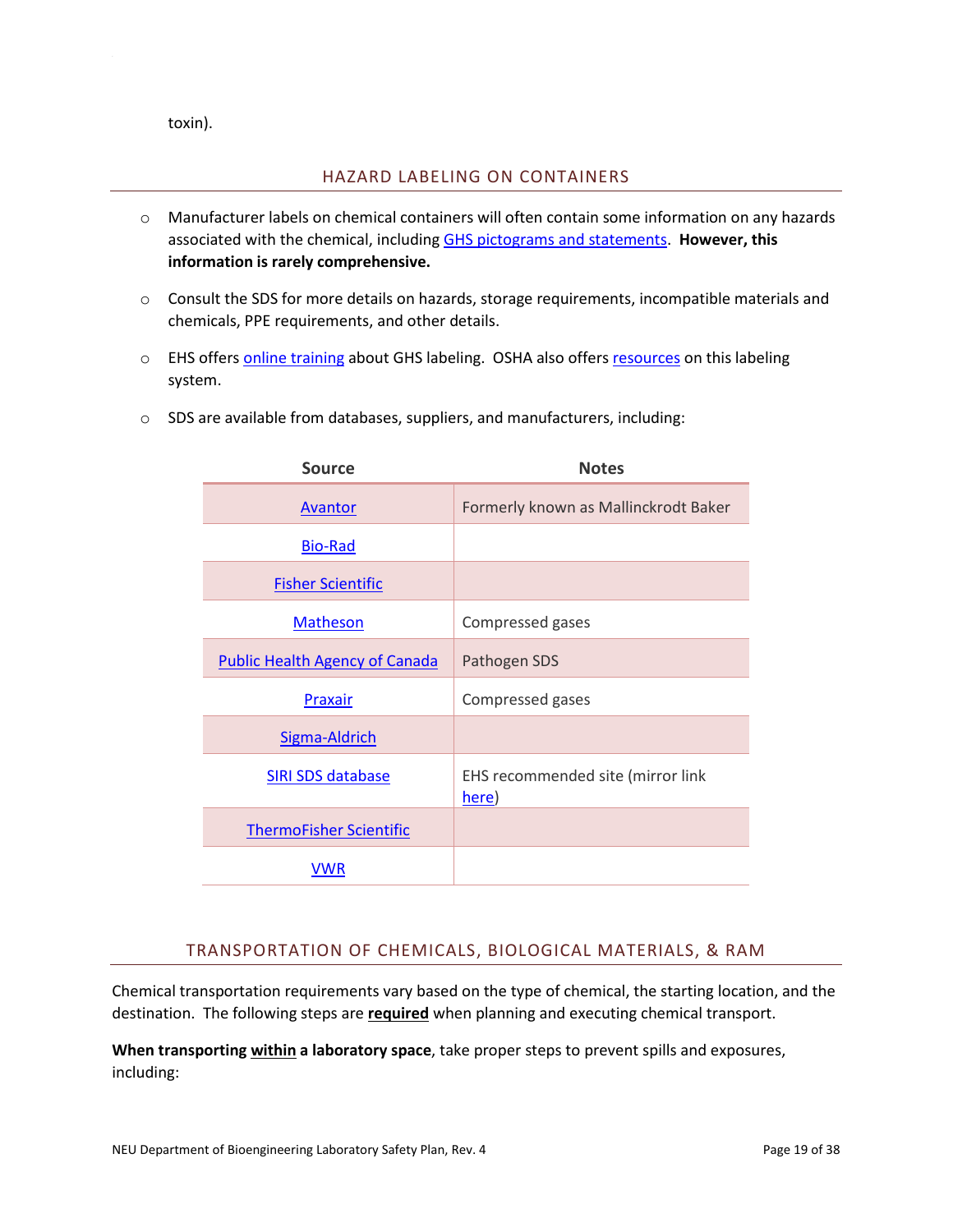<span id="page-19-0"></span>toxin).

#### HAZARD LABELING ON CONTAINERS

- o Manufacturer labels on chemical containers will often contain some information on any hazards associated with the chemical, including [GHS pictograms and statements.](https://www.northeastern.edu/ehs/wp-content/uploads/2015/11/HazCommStanPic.pdf) **However, this information is rarely comprehensive.**
- o Consult the SDS for more details on hazards, storage requirements, incompatible materials and chemicals, PPE requirements, and other details.
- o EHS offers **online training** about GHS labeling. OSHA also offers [resources](https://www.osha.gov/dsg/hazcom/index.html) on this labeling system.

|  | $\circ$ SDS are available from databases, suppliers, and manufacturers, including: |  |  |  |  |
|--|------------------------------------------------------------------------------------|--|--|--|--|
|--|------------------------------------------------------------------------------------|--|--|--|--|

| <b>Source</b>                         | <b>Notes</b>                               |
|---------------------------------------|--------------------------------------------|
| Avantor                               | Formerly known as Mallinckrodt Baker       |
| <b>Bio-Rad</b>                        |                                            |
| <b>Fisher Scientific</b>              |                                            |
| <b>Matheson</b>                       | Compressed gases                           |
| <b>Public Health Agency of Canada</b> | Pathogen SDS                               |
| Praxair                               | Compressed gases                           |
| Sigma-Aldrich                         |                                            |
| <b>SIRI SDS database</b>              | EHS recommended site (mirror link<br>here) |
| <b>ThermoFisher Scientific</b>        |                                            |
| VWR                                   |                                            |

## TRANSPORTATION OF CHEMICALS, BIOLOGICAL MATERIALS, & RAM

<span id="page-19-1"></span>Chemical transportation requirements vary based on the type of chemical, the starting location, and the destination. The following steps are **required** when planning and executing chemical transport.

**When transporting within a laboratory space**, take proper steps to prevent spills and exposures, including: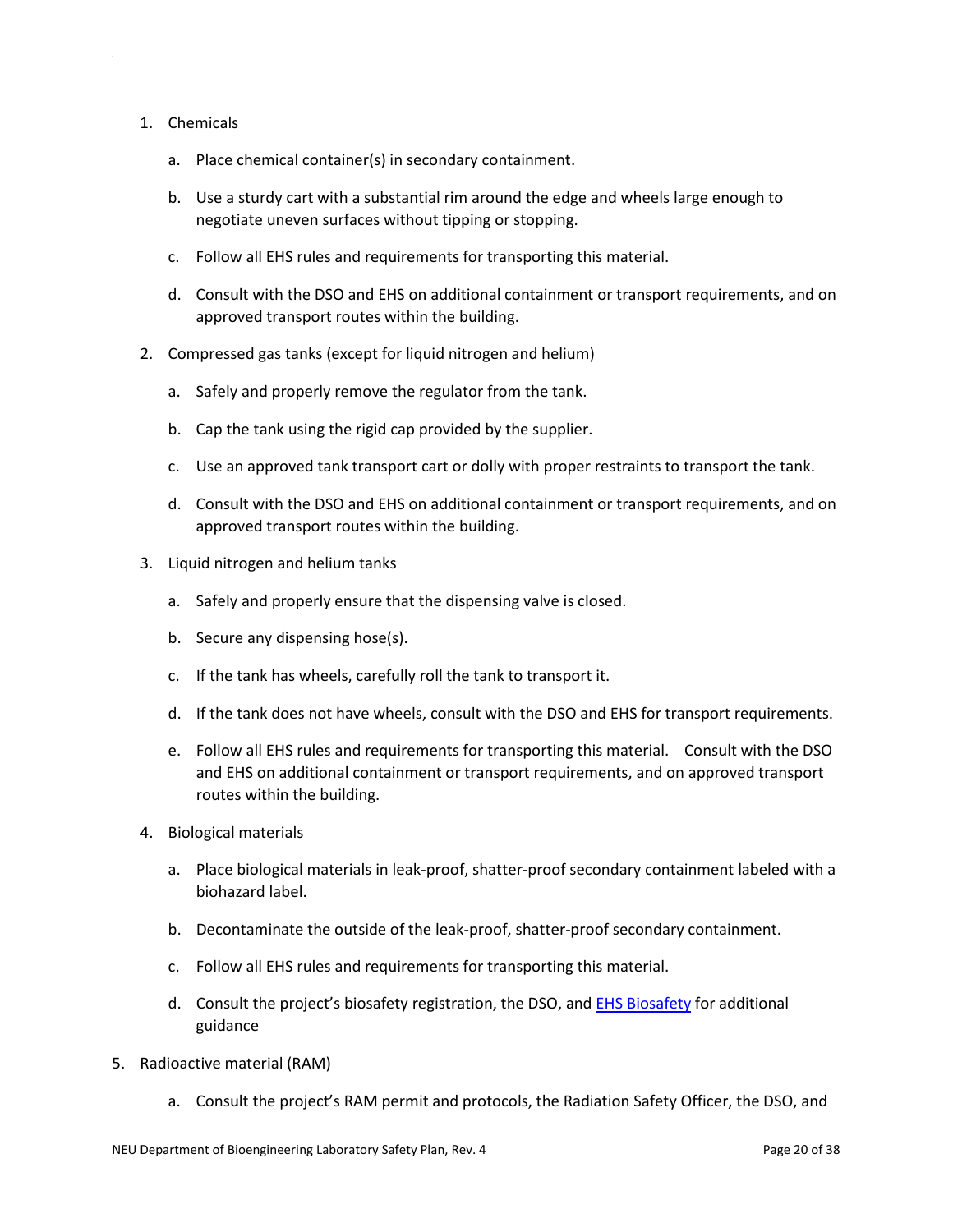#### 1. Chemicals

- a. Place chemical container(s) in secondary containment.
- b. Use a sturdy cart with a substantial rim around the edge and wheels large enough to negotiate uneven surfaces without tipping or stopping.
- c. Follow all EHS rules and requirements for transporting this material.
- d. Consult with the DSO and EHS on additional containment or transport requirements, and on approved transport routes within the building.
- 2. Compressed gas tanks (except for liquid nitrogen and helium)
	- a. Safely and properly remove the regulator from the tank.
	- b. Cap the tank using the rigid cap provided by the supplier.
	- c. Use an approved tank transport cart or dolly with proper restraints to transport the tank.
	- d. Consult with the DSO and EHS on additional containment or transport requirements, and on approved transport routes within the building.
- 3. Liquid nitrogen and helium tanks
	- a. Safely and properly ensure that the dispensing valve is closed.
	- b. Secure any dispensing hose(s).
	- c. If the tank has wheels, carefully roll the tank to transport it.
	- d. If the tank does not have wheels, consult with the DSO and EHS for transport requirements.
	- e. Follow all EHS rules and requirements for transporting this material. Consult with the DSO and EHS on additional containment or transport requirements, and on approved transport routes within the building.
- 4. Biological materials
	- a. Place biological materials in leak-proof, shatter-proof secondary containment labeled with a biohazard label.
	- b. Decontaminate the outside of the leak-proof, shatter-proof secondary containment.
	- c. Follow all EHS rules and requirements for transporting this material.
	- d. Consult the project's biosafety registration, the DSO, and [EHS Biosafety](mailto:Biosafety%20%3cBiosafety@northeastern.edu%3e) for additional guidance
- 5. Radioactive material (RAM)
	- a. Consult the project's RAM permit and protocols, the Radiation Safety Officer, the DSO, and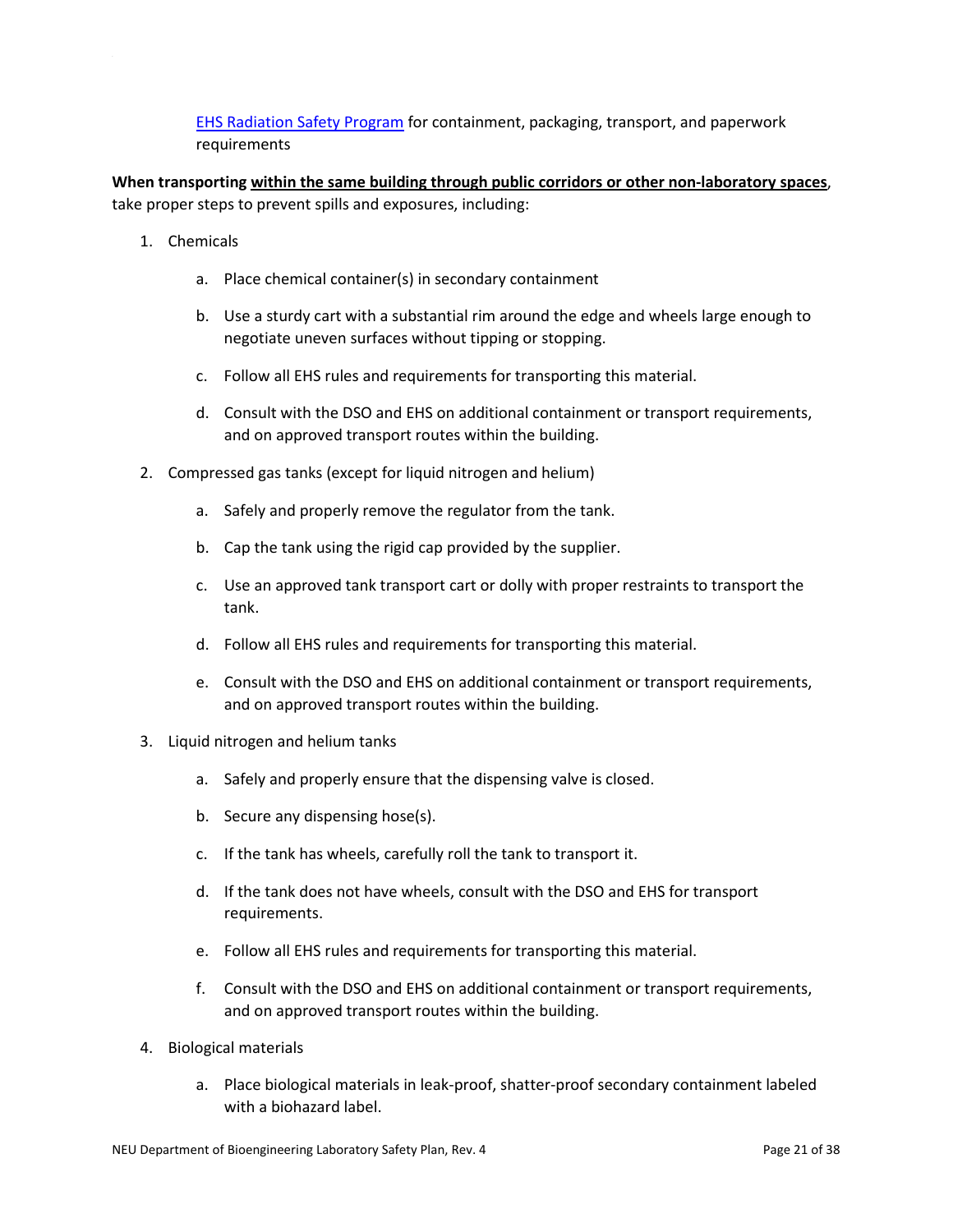[EHS Radiation Safety Program](https://www.northeastern.edu/ehs/ehs-programs/radiation-safety/radioactive-material-order-form/) for containment, packaging, transport, and paperwork requirements

**When transporting within the same building through public corridors or other non-laboratory spaces**, take proper steps to prevent spills and exposures, including:

- 1. Chemicals
	- a. Place chemical container(s) in secondary containment
	- b. Use a sturdy cart with a substantial rim around the edge and wheels large enough to negotiate uneven surfaces without tipping or stopping.
	- c. Follow all EHS rules and requirements for transporting this material.
	- d. Consult with the DSO and EHS on additional containment or transport requirements, and on approved transport routes within the building.
- 2. Compressed gas tanks (except for liquid nitrogen and helium)
	- a. Safely and properly remove the regulator from the tank.
	- b. Cap the tank using the rigid cap provided by the supplier.
	- c. Use an approved tank transport cart or dolly with proper restraints to transport the tank.
	- d. Follow all EHS rules and requirements for transporting this material.
	- e. Consult with the DSO and EHS on additional containment or transport requirements, and on approved transport routes within the building.
- 3. Liquid nitrogen and helium tanks
	- a. Safely and properly ensure that the dispensing valve is closed.
	- b. Secure any dispensing hose(s).
	- c. If the tank has wheels, carefully roll the tank to transport it.
	- d. If the tank does not have wheels, consult with the DSO and EHS for transport requirements.
	- e. Follow all EHS rules and requirements for transporting this material.
	- f. Consult with the DSO and EHS on additional containment or transport requirements, and on approved transport routes within the building.
- 4. Biological materials
	- a. Place biological materials in leak-proof, shatter-proof secondary containment labeled with a biohazard label.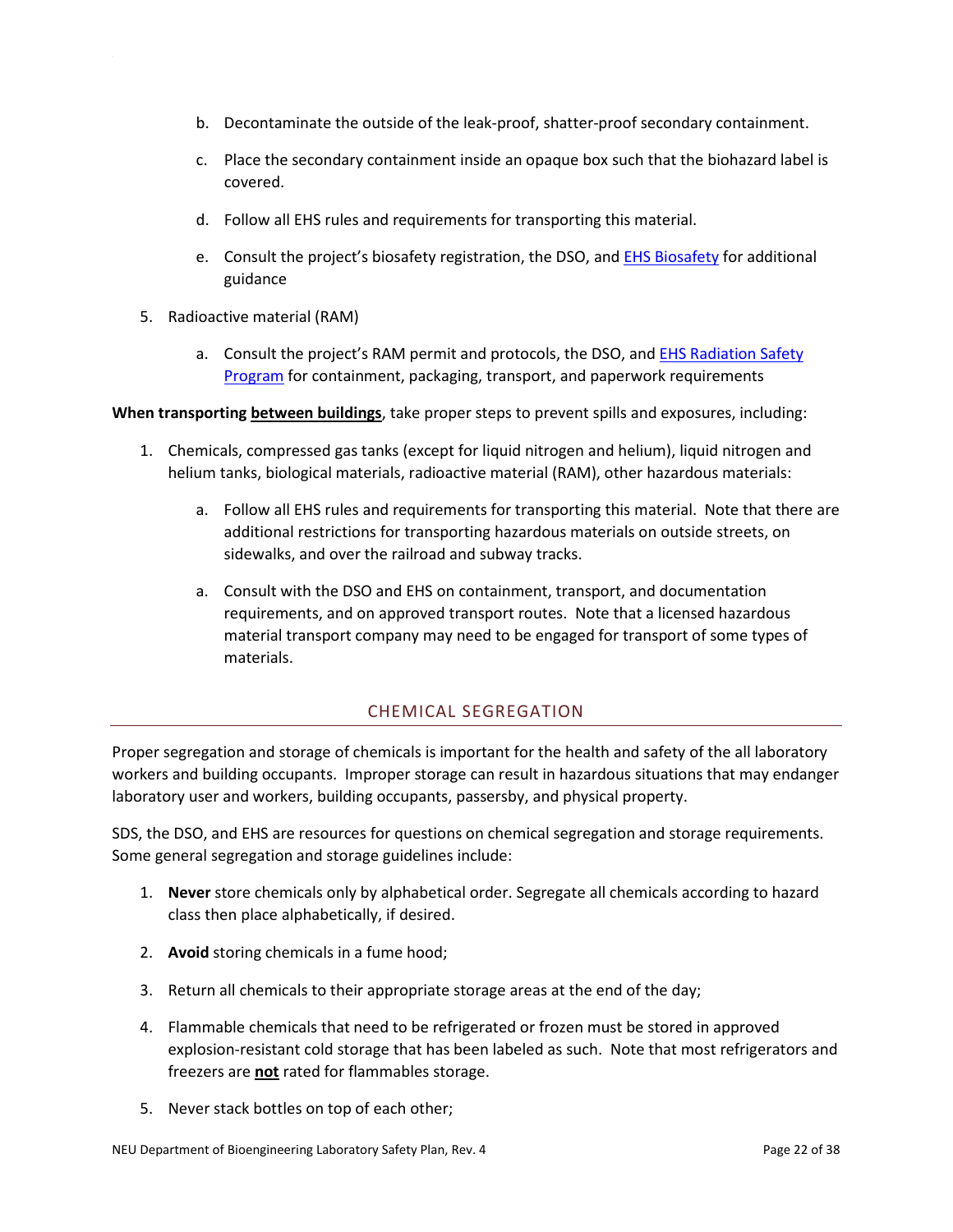- b. Decontaminate the outside of the leak-proof, shatter-proof secondary containment.
- c. Place the secondary containment inside an opaque box such that the biohazard label is covered.
- d. Follow all EHS rules and requirements for transporting this material.
- e. Consult the project's biosafety registration, the DSO, and **EHS Biosafety** for additional guidance
- 5. Radioactive material (RAM)
	- a. Consult the project's RAM permit and protocols, the DSO, an[d EHS Radiation Safety](https://www.northeastern.edu/ehs/ehs-programs/radiation-safety/radioactive-material-order-form/)  [Program](https://www.northeastern.edu/ehs/ehs-programs/radiation-safety/radioactive-material-order-form/) for containment, packaging, transport, and paperwork requirements

**When transporting between buildings**, take proper steps to prevent spills and exposures, including:

- 1. Chemicals, compressed gas tanks (except for liquid nitrogen and helium), liquid nitrogen and helium tanks, biological materials, radioactive material (RAM), other hazardous materials:
	- a. Follow all EHS rules and requirements for transporting this material. Note that there are additional restrictions for transporting hazardous materials on outside streets, on sidewalks, and over the railroad and subway tracks.
	- a. Consult with the DSO and EHS on containment, transport, and documentation requirements, and on approved transport routes. Note that a licensed hazardous material transport company may need to be engaged for transport of some types of materials.

## CHEMICAL SEGREGATION

<span id="page-22-0"></span>Proper segregation and storage of chemicals is important for the health and safety of the all laboratory workers and building occupants. Improper storage can result in hazardous situations that may endanger laboratory user and workers, building occupants, passersby, and physical property.

SDS, the DSO, and EHS are resources for questions on chemical segregation and storage requirements. Some general segregation and storage guidelines include:

- 1. **Never** store chemicals only by alphabetical order. Segregate all chemicals according to hazard class then place alphabetically, if desired.
- 2. **Avoid** storing chemicals in a fume hood;
- 3. Return all chemicals to their appropriate storage areas at the end of the day;
- 4. Flammable chemicals that need to be refrigerated or frozen must be stored in approved explosion-resistant cold storage that has been labeled as such. Note that most refrigerators and freezers are **not** rated for flammables storage.
- 5. Never stack bottles on top of each other;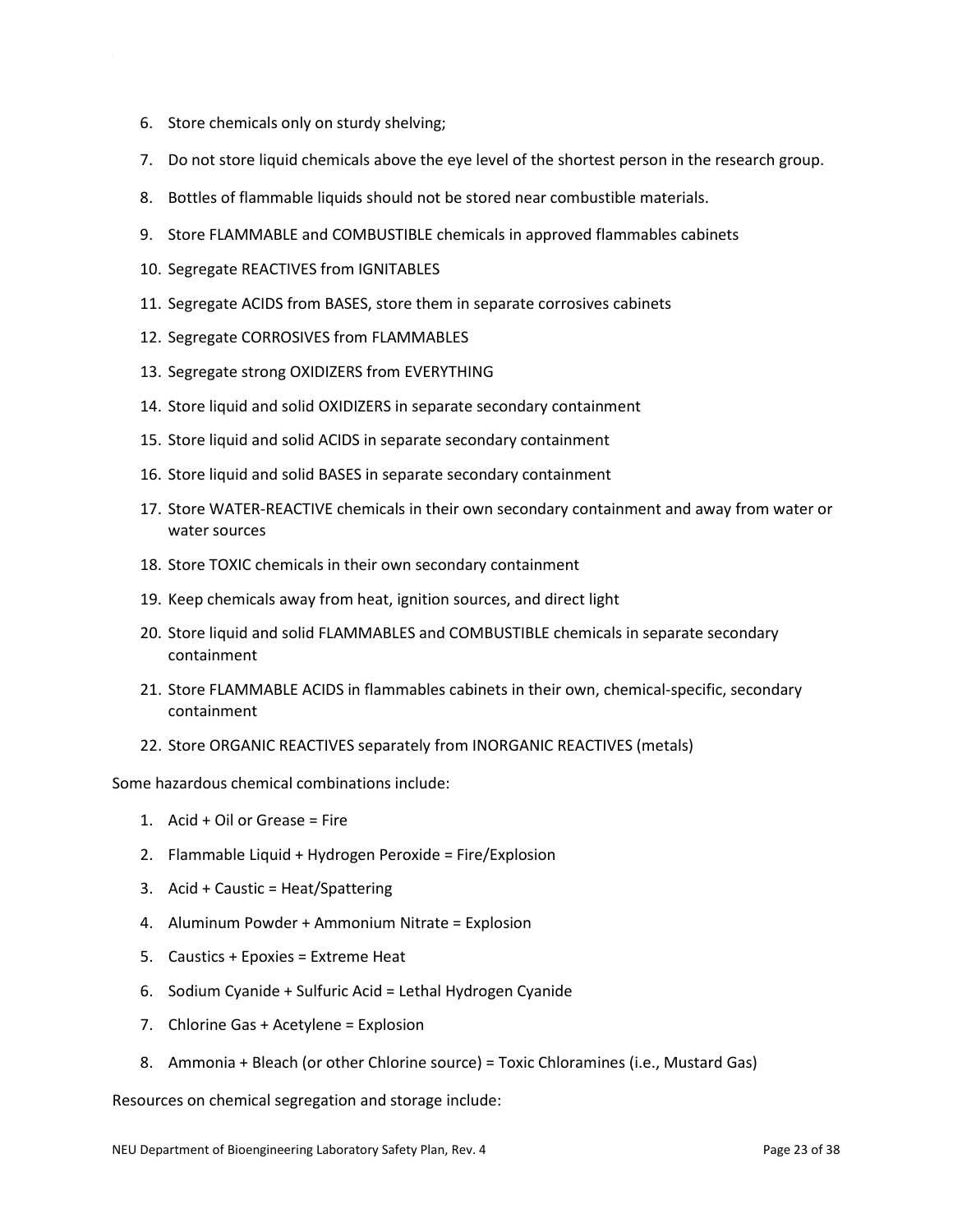- 6. Store chemicals only on sturdy shelving;
- 7. Do not store liquid chemicals above the eye level of the shortest person in the research group.
- 8. Bottles of flammable liquids should not be stored near combustible materials.
- 9. Store FLAMMABLE and COMBUSTIBLE chemicals in approved flammables cabinets
- 10. Segregate REACTIVES from IGNITABLES
- 11. Segregate ACIDS from BASES, store them in separate corrosives cabinets
- 12. Segregate CORROSIVES from FLAMMABLES
- 13. Segregate strong OXIDIZERS from EVERYTHING
- 14. Store liquid and solid OXIDIZERS in separate secondary containment
- 15. Store liquid and solid ACIDS in separate secondary containment
- 16. Store liquid and solid BASES in separate secondary containment
- 17. Store WATER-REACTIVE chemicals in their own secondary containment and away from water or water sources
- 18. Store TOXIC chemicals in their own secondary containment
- 19. Keep chemicals away from heat, ignition sources, and direct light
- 20. Store liquid and solid FLAMMABLES and COMBUSTIBLE chemicals in separate secondary containment
- 21. Store FLAMMABLE ACIDS in flammables cabinets in their own, chemical-specific, secondary containment
- 22. Store ORGANIC REACTIVES separately from INORGANIC REACTIVES (metals)

Some hazardous chemical combinations include:

- 1. Acid + Oil or Grease = Fire
- 2. Flammable Liquid + Hydrogen Peroxide = Fire/Explosion
- 3. Acid + Caustic = Heat/Spattering
- 4. Aluminum Powder + Ammonium Nitrate = Explosion
- 5. Caustics + Epoxies = Extreme Heat
- 6. Sodium Cyanide + Sulfuric Acid = Lethal Hydrogen Cyanide
- 7. Chlorine Gas + Acetylene = Explosion
- 8. Ammonia + Bleach (or other Chlorine source) = Toxic Chloramines (i.e., Mustard Gas)

Resources on chemical segregation and storage include: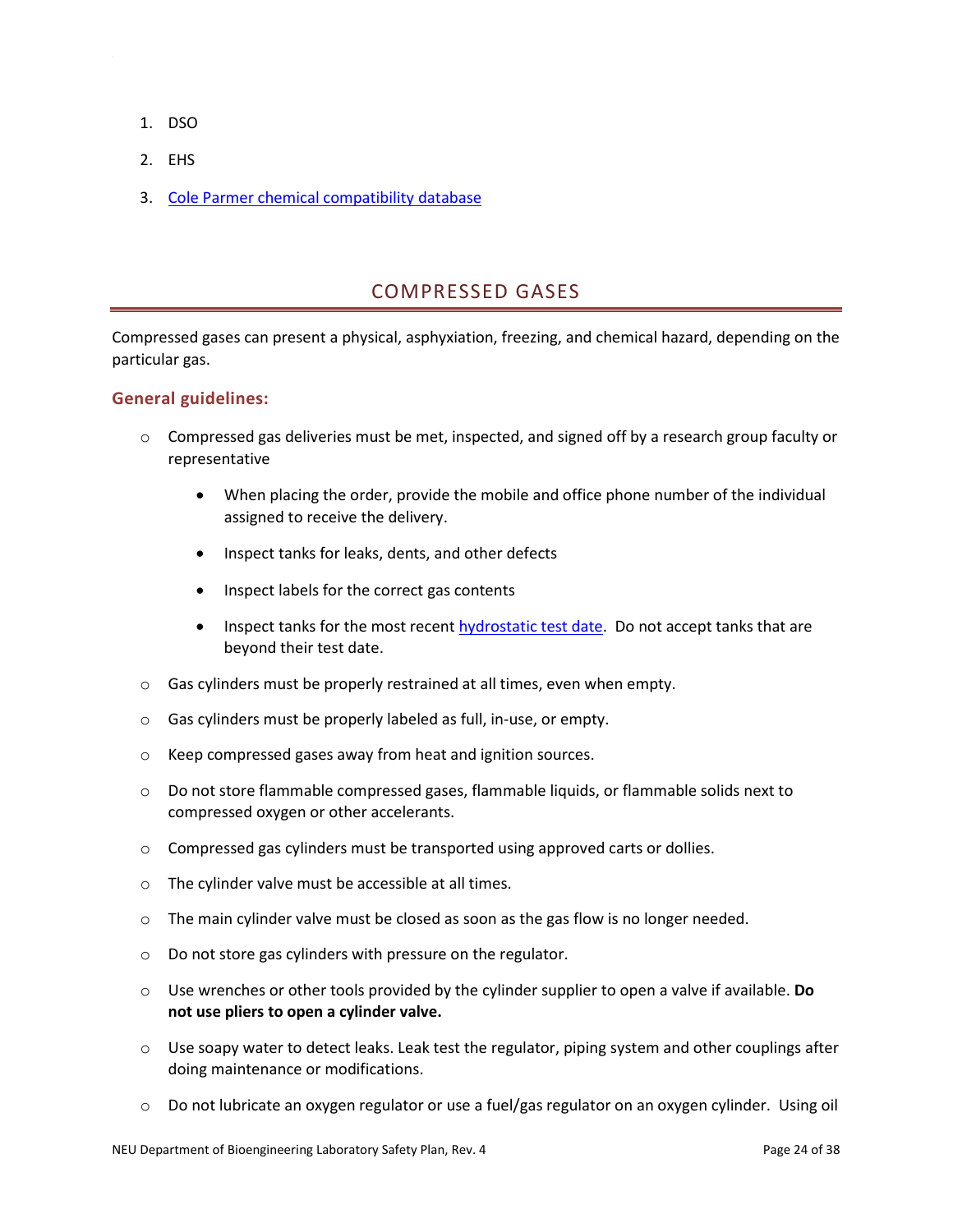- 1. DSO
- 2. EHS
- 3. [Cole Parmer chemical compatibility database](http://partners.coleparmer.com/techinfo/chemcomp.asp)

# COMPRESSED GASES

<span id="page-24-0"></span>Compressed gases can present a physical, asphyxiation, freezing, and chemical hazard, depending on the particular gas.

#### **General guidelines:**

- $\circ$  Compressed gas deliveries must be met, inspected, and signed off by a research group faculty or representative
	- When placing the order, provide the mobile and office phone number of the individual assigned to receive the delivery.
	- Inspect tanks for leaks, dents, and other defects
	- Inspect labels for the correct gas contents
	- Inspect tanks for the most recent [hydrostatic test date.](https://www.ehs.gatech.edu/chemical/lsm/9-12) Do not accept tanks that are beyond their test date.
- o Gas cylinders must be properly restrained at all times, even when empty.
- o Gas cylinders must be properly labeled as full, in-use, or empty.
- o Keep compressed gases away from heat and ignition sources.
- $\circ$  Do not store flammable compressed gases, flammable liquids, or flammable solids next to compressed oxygen or other accelerants.
- $\circ$  Compressed gas cylinders must be transported using approved carts or dollies.
- o The cylinder valve must be accessible at all times.
- $\circ$  The main cylinder valve must be closed as soon as the gas flow is no longer needed.
- o Do not store gas cylinders with pressure on the regulator.
- o Use wrenches or other tools provided by the cylinder supplier to open a valve if available. **Do not use pliers to open a cylinder valve.**
- $\circ$  Use soapy water to detect leaks. Leak test the regulator, piping system and other couplings after doing maintenance or modifications.
- $\circ$  Do not lubricate an oxygen regulator or use a fuel/gas regulator on an oxygen cylinder. Using oil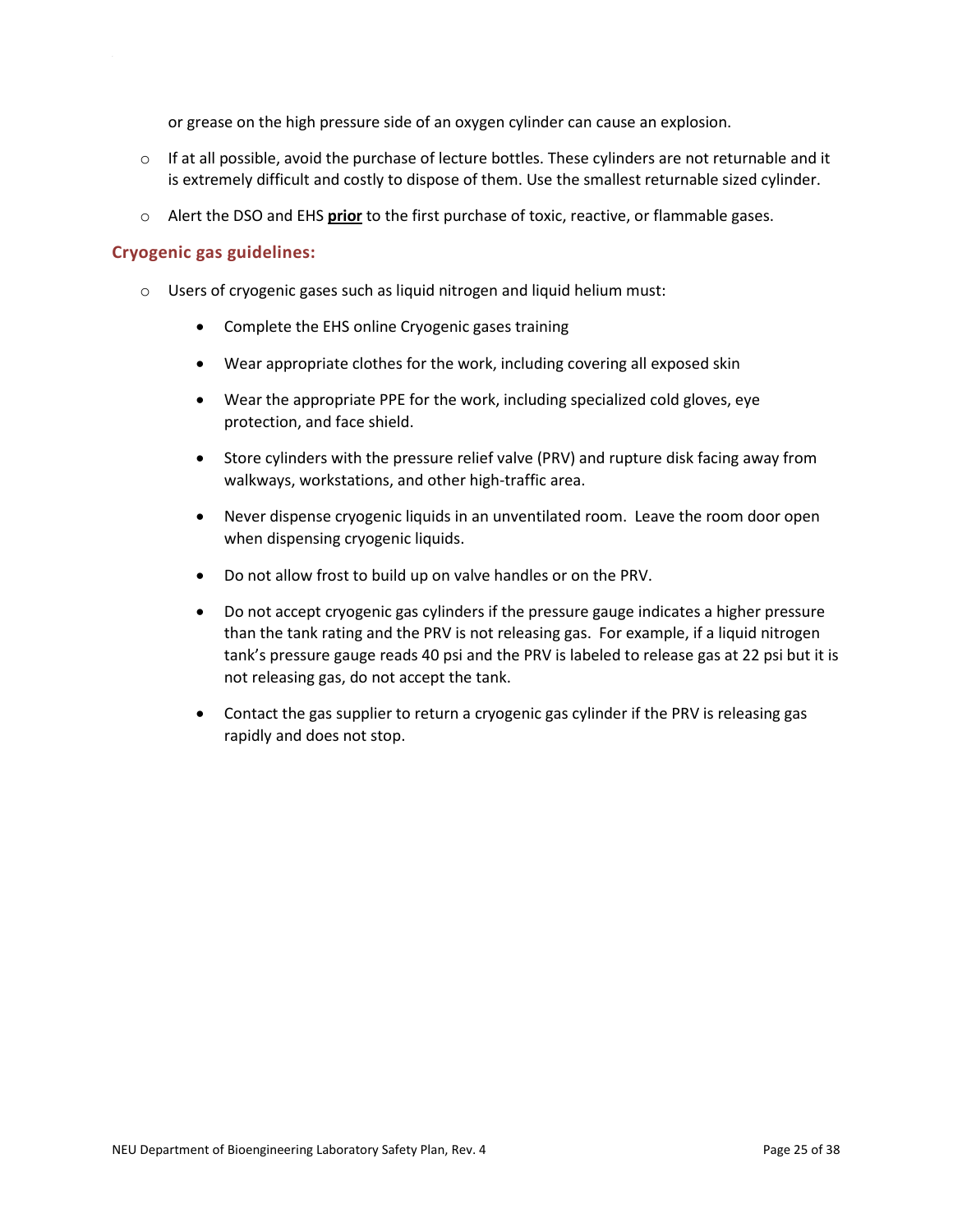or grease on the high pressure side of an oxygen cylinder can cause an explosion.

- $\circ$  If at all possible, avoid the purchase of lecture bottles. These cylinders are not returnable and it is extremely difficult and costly to dispose of them. Use the smallest returnable sized cylinder.
- o Alert the DSO and EHS **prior** to the first purchase of toxic, reactive, or flammable gases.

#### **Cryogenic gas guidelines:**

- o Users of cryogenic gases such as liquid nitrogen and liquid helium must:
	- Complete the EHS online Cryogenic gases training
	- Wear appropriate clothes for the work, including covering all exposed skin
	- Wear the appropriate PPE for the work, including specialized cold gloves, eye protection, and face shield.
	- Store cylinders with the pressure relief valve (PRV) and rupture disk facing away from walkways, workstations, and other high-traffic area.
	- Never dispense cryogenic liquids in an unventilated room. Leave the room door open when dispensing cryogenic liquids.
	- Do not allow frost to build up on valve handles or on the PRV.
	- Do not accept cryogenic gas cylinders if the pressure gauge indicates a higher pressure than the tank rating and the PRV is not releasing gas. For example, if a liquid nitrogen tank's pressure gauge reads 40 psi and the PRV is labeled to release gas at 22 psi but it is not releasing gas, do not accept the tank.
	- Contact the gas supplier to return a cryogenic gas cylinder if the PRV is releasing gas rapidly and does not stop.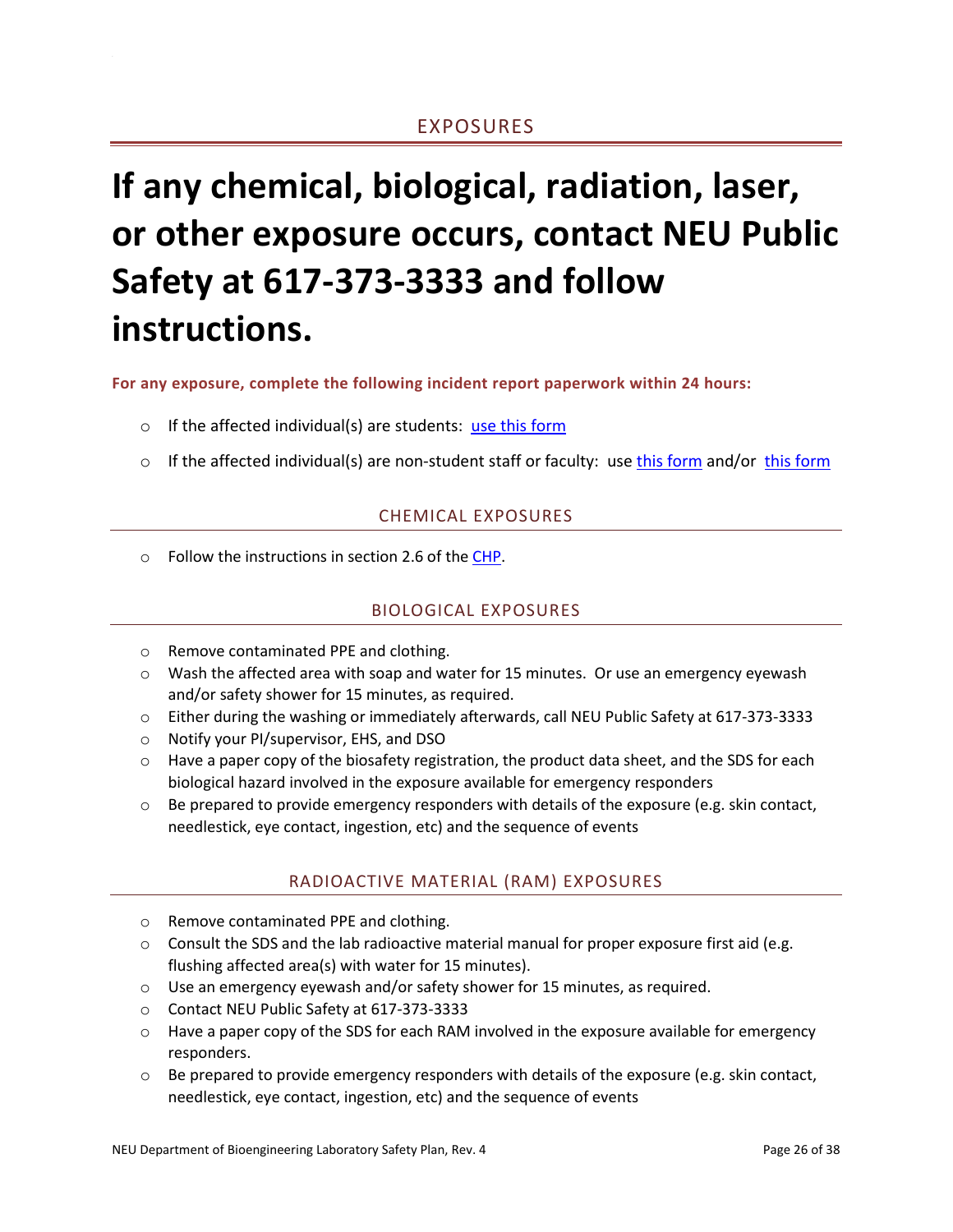# <span id="page-26-0"></span>**If any chemical, biological, radiation, laser, or other exposure occurs, contact NEU Public Safety at 617-373-3333 and follow instructions.**

**For any exposure, complete the following incident report paperwork within 24 hours:** 

- $\circ$  If the affected individual(s) are students: [use this form](http://www.bioe.neu.edu/sites/default/files/accident_incident_report_form_10_3_16.pdf)
- <span id="page-26-1"></span>o If the affected individual(s) are non-student staff or faculty: use [this form](https://www.northeastern.edu/risk-services/wp-content/uploads/2018/05/WC-Form-5.21.18.pdf) and/or this form

### CHEMICAL EXPOSURES

<span id="page-26-2"></span>o Follow the instructions in section 2.6 of th[e CHP.](https://www.northeastern.edu/ehs/ehs-programs/laboratory-safety/chemical-hygiene/chemical-hygiene-plan/)

## BIOLOGICAL EXPOSURES

- o Remove contaminated PPE and clothing.
- o Wash the affected area with soap and water for 15 minutes. Or use an emergency eyewash and/or safety shower for 15 minutes, as required.
- o Either during the washing or immediately afterwards, call NEU Public Safety at 617-373-3333
- o Notify your PI/supervisor, EHS, and DSO
- $\circ$  Have a paper copy of the biosafety registration, the product data sheet, and the SDS for each biological hazard involved in the exposure available for emergency responders
- <span id="page-26-3"></span> $\circ$  Be prepared to provide emergency responders with details of the exposure (e.g. skin contact, needlestick, eye contact, ingestion, etc) and the sequence of events

## RADIOACTIVE MATERIAL (RAM) EXPOSURES

- o Remove contaminated PPE and clothing.
- $\circ$  Consult the SDS and the lab radioactive material manual for proper exposure first aid (e.g. flushing affected area(s) with water for 15 minutes).
- $\circ$  Use an emergency eyewash and/or safety shower for 15 minutes, as required.
- o Contact NEU Public Safety at 617-373-3333
- $\circ$  Have a paper copy of the SDS for each RAM involved in the exposure available for emergency responders.
- $\circ$  Be prepared to provide emergency responders with details of the exposure (e.g. skin contact, needlestick, eye contact, ingestion, etc) and the sequence of events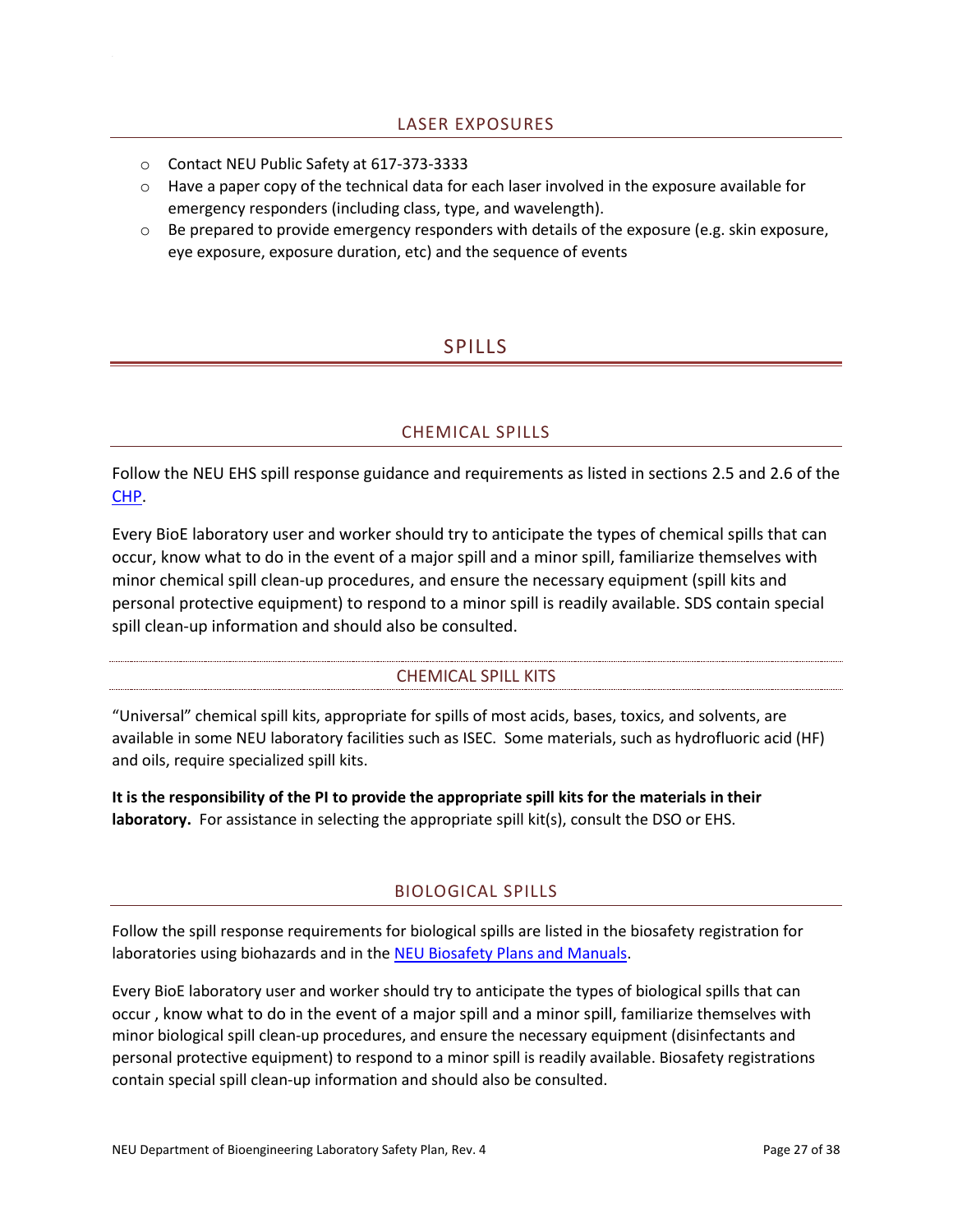- <span id="page-27-0"></span>o Contact NEU Public Safety at 617-373-3333
- o Have a paper copy of the technical data for each laser involved in the exposure available for emergency responders (including class, type, and wavelength).
- <span id="page-27-1"></span> $\circ$  Be prepared to provide emergency responders with details of the exposure (e.g. skin exposure, eye exposure, exposure duration, etc) and the sequence of events

# SPILLS

## CHEMICAL SPILLS

<span id="page-27-2"></span>Follow the NEU EHS spill response guidance and requirements as listed in sections 2.5 and 2.6 of the [CHP.](https://www.northeastern.edu/ehs/ehs-programs/laboratory-safety/chemical-hygiene/chemical-hygiene-plan/)

Every BioE laboratory user and worker should try to anticipate the types of chemical spills that can occur, know what to do in the event of a major spill and a minor spill, familiarize themselves with minor chemical spill clean-up procedures, and ensure the necessary equipment (spill kits and personal protective equipment) to respond to a minor spill is readily available. SDS contain special spill clean-up information and should also be consulted.

## CHEMICAL SPILL KITS

<span id="page-27-3"></span>"Universal" chemical spill kits, appropriate for spills of most acids, bases, toxics, and solvents, are available in some NEU laboratory facilities such as ISEC. Some materials, such as hydrofluoric acid (HF) and oils, require specialized spill kits.

**It is the responsibility of the PI to provide the appropriate spill kits for the materials in their**  laboratory. For assistance in selecting the appropriate spill kit(s), consult the DSO or EHS.

## BIOLOGICAL SPILLS

<span id="page-27-4"></span>Follow the spill response requirements for biological spills are listed in the biosafety registration for laboratories using biohazards and in the [NEU Biosafety Plans and Manuals.](https://www.northeastern.edu/ehs/ehs-programs/biosafety/plans-and-manuals/)

Every BioE laboratory user and worker should try to anticipate the types of biological spills that can occur , know what to do in the event of a major spill and a minor spill, familiarize themselves with minor biological spill clean-up procedures, and ensure the necessary equipment (disinfectants and personal protective equipment) to respond to a minor spill is readily available. Biosafety registrations contain special spill clean-up information and should also be consulted.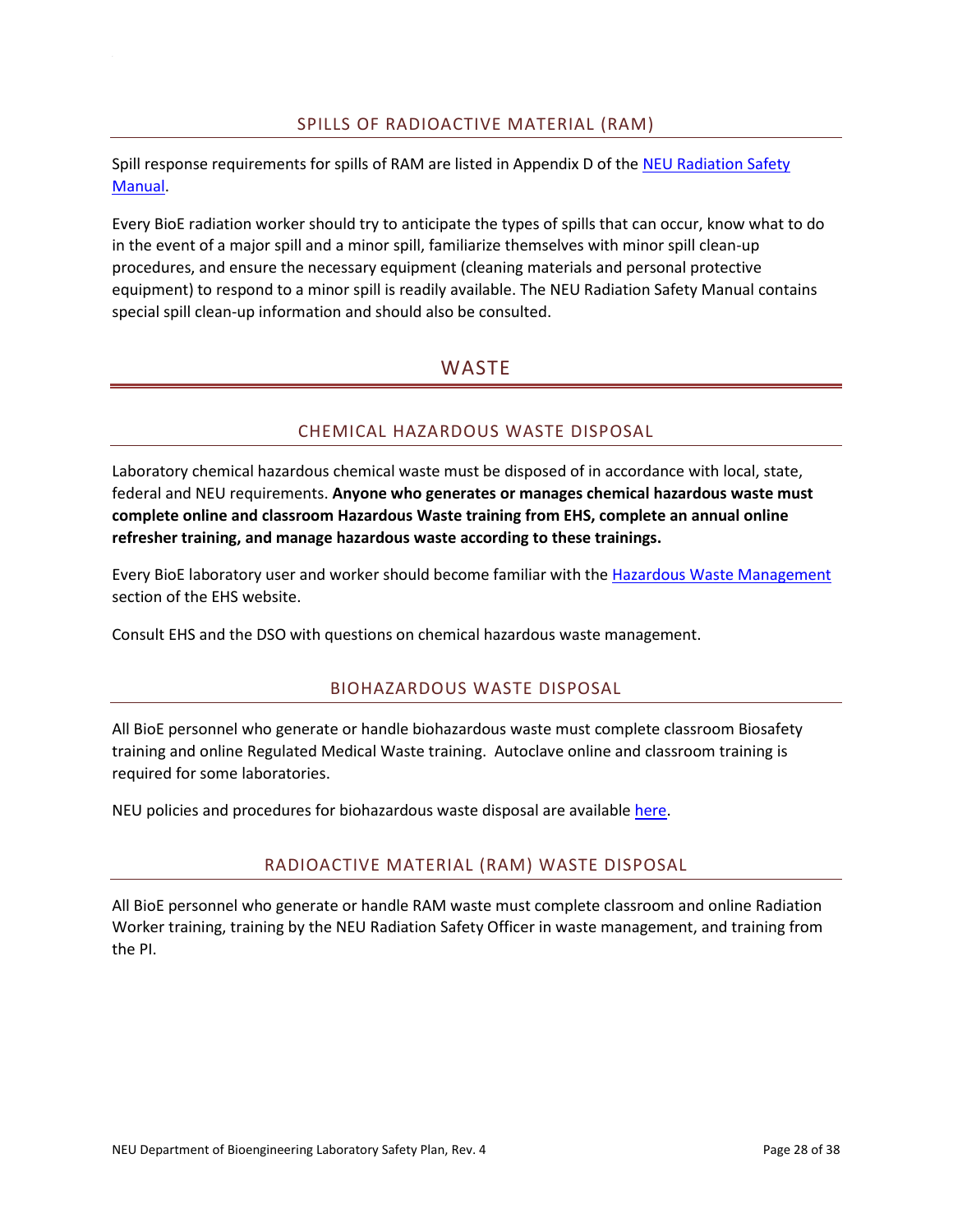### SPILLS OF RADIOACTIVE MATERIAL (RAM)

<span id="page-28-0"></span>Spill response requirements for spills of RAM are listed in Appendix D of the [NEU Radiation Safety](https://www.northeastern.edu/ehs/ehs-programs/radiation-safety/radiation-safety-handbook/)  [Manual.](https://www.northeastern.edu/ehs/ehs-programs/radiation-safety/radiation-safety-handbook/)

<span id="page-28-1"></span>Every BioE radiation worker should try to anticipate the types of spills that can occur, know what to do in the event of a major spill and a minor spill, familiarize themselves with minor spill clean-up procedures, and ensure the necessary equipment (cleaning materials and personal protective equipment) to respond to a minor spill is readily available. The NEU Radiation Safety Manual contains special spill clean-up information and should also be consulted.

# **WASTE**

## CHEMICAL HAZARDOUS WASTE DISPOSAL

<span id="page-28-2"></span>Laboratory chemical hazardous chemical waste must be disposed of in accordance with local, state, federal and NEU requirements. **Anyone who generates or manages chemical hazardous waste must complete online and classroom Hazardous Waste training from EHS, complete an annual online refresher training, and manage hazardous waste according to these trainings.**

Every BioE laboratory user and worker should become familiar with the [Hazardous Waste Management](http://www.northeastern.edu/ehs/ehs-programs/hazardous-waste-management/) section of the EHS website.

<span id="page-28-3"></span>Consult EHS and the DSO with questions on chemical hazardous waste management.

#### BIOHAZARDOUS WASTE DISPOSAL

All BioE personnel who generate or handle biohazardous waste must complete classroom Biosafety training and online Regulated Medical Waste training. Autoclave online and classroom training is required for some laboratories.

<span id="page-28-4"></span>NEU policies and procedures for biohazardous waste disposal are available [here.](https://www.northeastern.edu/ehs/ehs-programs/biosafety/biohazardous-waste/)

#### RADIOACTIVE MATERIAL (RAM) WASTE DISPOSAL

All BioE personnel who generate or handle RAM waste must complete classroom and online Radiation Worker training, training by the NEU Radiation Safety Officer in waste management, and training from the PI.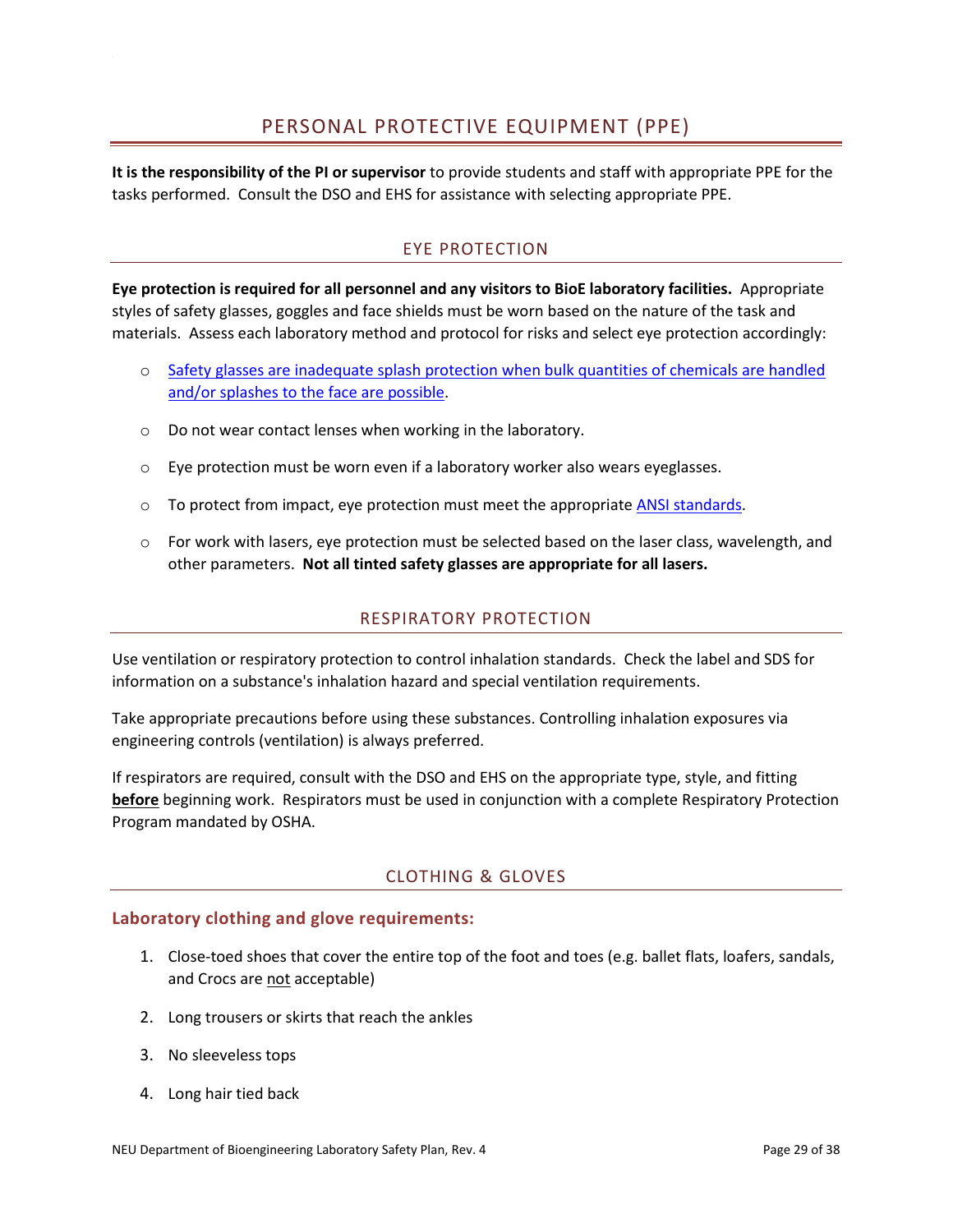<span id="page-29-1"></span><span id="page-29-0"></span>**It is the responsibility of the PI or supervisor** to provide students and staff with appropriate PPE for the tasks performed. Consult the DSO and EHS for assistance with selecting appropriate PPE.

# EYE PROTECTION

**Eye protection is required for all personnel and any visitors to BioE laboratory facilities.** Appropriate styles of safety glasses, goggles and face shields must be worn based on the nature of the task and materials. Assess each laboratory method and protocol for risks and select eye protection accordingly:

- o [Safety glasses are inadequate splash protection when](https://ehs.ucr.edu/resources/eyeprotection.pdf) bulk quantities of chemicals are handled [and/or splashes to the face are possible.](https://ehs.ucr.edu/resources/eyeprotection.pdf)
- o Do not wear contact lenses when working in the laboratory.
- $\circ$  Eye protection must be worn even if a laboratory worker also wears eveglasses.
- $\circ$  To protect from impact, eye protection must meet the appropriate [ANSI standards.](https://www.grainger.com/content/qt-personal-protective-equipment-requirements-125)
- $\circ$  For work with lasers, eye protection must be selected based on the laser class, wavelength, and other parameters. **Not all tinted safety glasses are appropriate for all lasers.**

## RESPIRATORY PROTECTION

<span id="page-29-2"></span>Use ventilation or respiratory protection to control inhalation standards. Check the label and SDS for information on a substance's inhalation hazard and special ventilation requirements.

Take appropriate precautions before using these substances. Controlling inhalation exposures via engineering controls (ventilation) is always preferred.

If respirators are required, consult with the DSO and EHS on the appropriate type, style, and fitting **before** beginning work. Respirators must be used in conjunction with a complete Respiratory Protection Program mandated by OSHA.

## CLOTHING & GLOVES

#### <span id="page-29-3"></span>**Laboratory clothing and glove requirements:**

- 1. Close-toed shoes that cover the entire top of the foot and toes (e.g. ballet flats, loafers, sandals, and Crocs are not acceptable)
- 2. Long trousers or skirts that reach the ankles
- 3. No sleeveless tops
- 4. Long hair tied back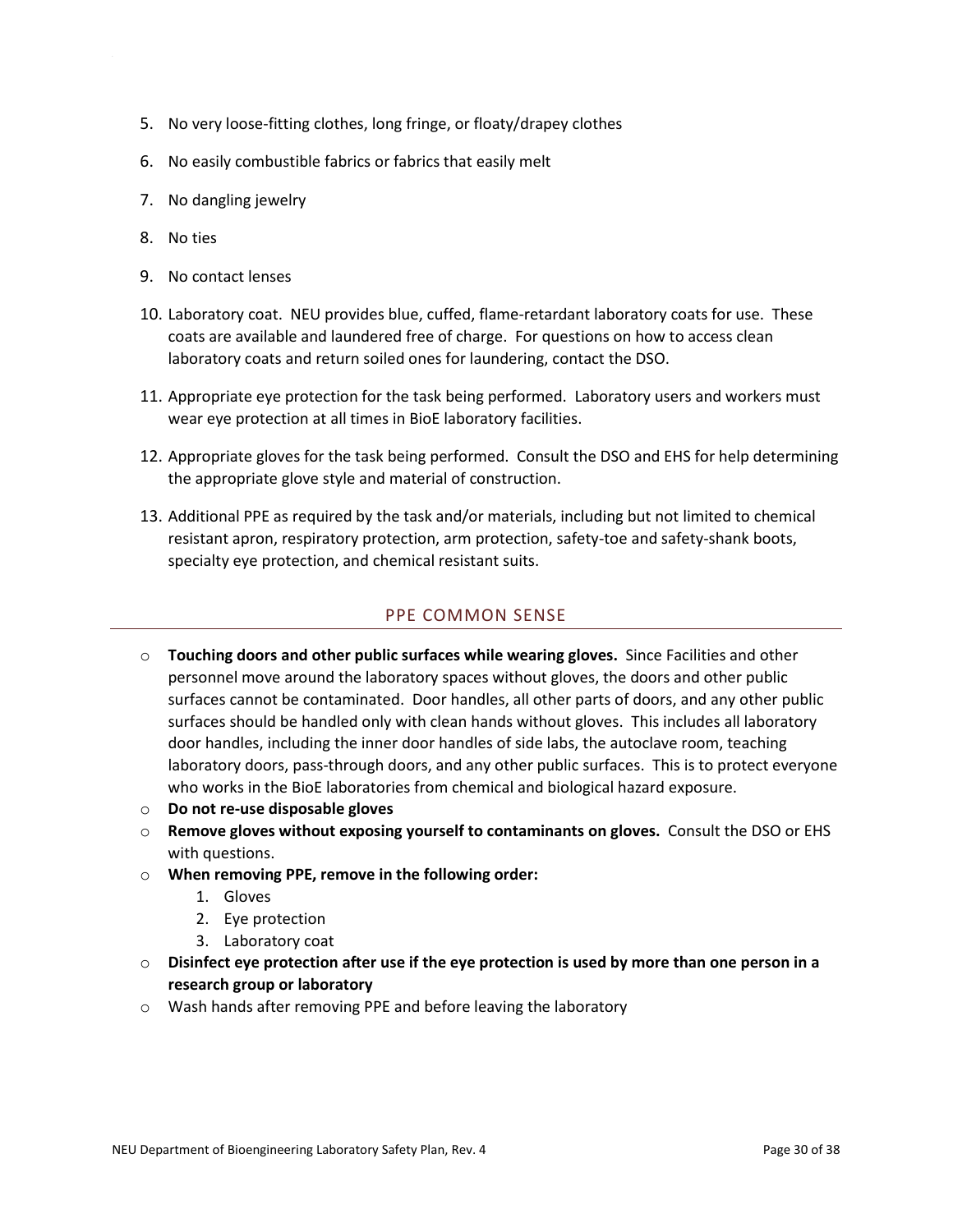- 5. No very loose-fitting clothes, long fringe, or floaty/drapey clothes
- 6. No easily combustible fabrics or fabrics that easily melt
- 7. No dangling jewelry
- 8. No ties
- 9. No contact lenses
- 10. Laboratory coat. NEU provides blue, cuffed, flame-retardant laboratory coats for use. These coats are available and laundered free of charge. For questions on how to access clean laboratory coats and return soiled ones for laundering, contact the DSO.
- 11. Appropriate eye protection for the task being performed. Laboratory users and workers must wear eye protection at all times in BioE laboratory facilities.
- 12. Appropriate gloves for the task being performed. Consult the DSO and EHS for help determining the appropriate glove style and material of construction.
- 13. Additional PPE as required by the task and/or materials, including but not limited to chemical resistant apron, respiratory protection, arm protection, safety-toe and safety-shank boots, specialty eye protection, and chemical resistant suits.

## PPE COMMON SENSE

- <span id="page-30-0"></span>o **Touching doors and other public surfaces while wearing gloves.** Since Facilities and other personnel move around the laboratory spaces without gloves, the doors and other public surfaces cannot be contaminated. Door handles, all other parts of doors, and any other public surfaces should be handled only with clean hands without gloves. This includes all laboratory door handles, including the inner door handles of side labs, the autoclave room, teaching laboratory doors, pass-through doors, and any other public surfaces. This is to protect everyone who works in the BioE laboratories from chemical and biological hazard exposure.
- o **Do not re-use disposable gloves**
- o **Remove gloves without exposing yourself to contaminants on gloves.** Consult the DSO or EHS with questions.
- o **When removing PPE, remove in the following order:**
	- 1. Gloves
	- 2. Eye protection
	- 3. Laboratory coat
- o **Disinfect eye protection after use if the eye protection is used by more than one person in a research group or laboratory**
- o Wash hands after removing PPE and before leaving the laboratory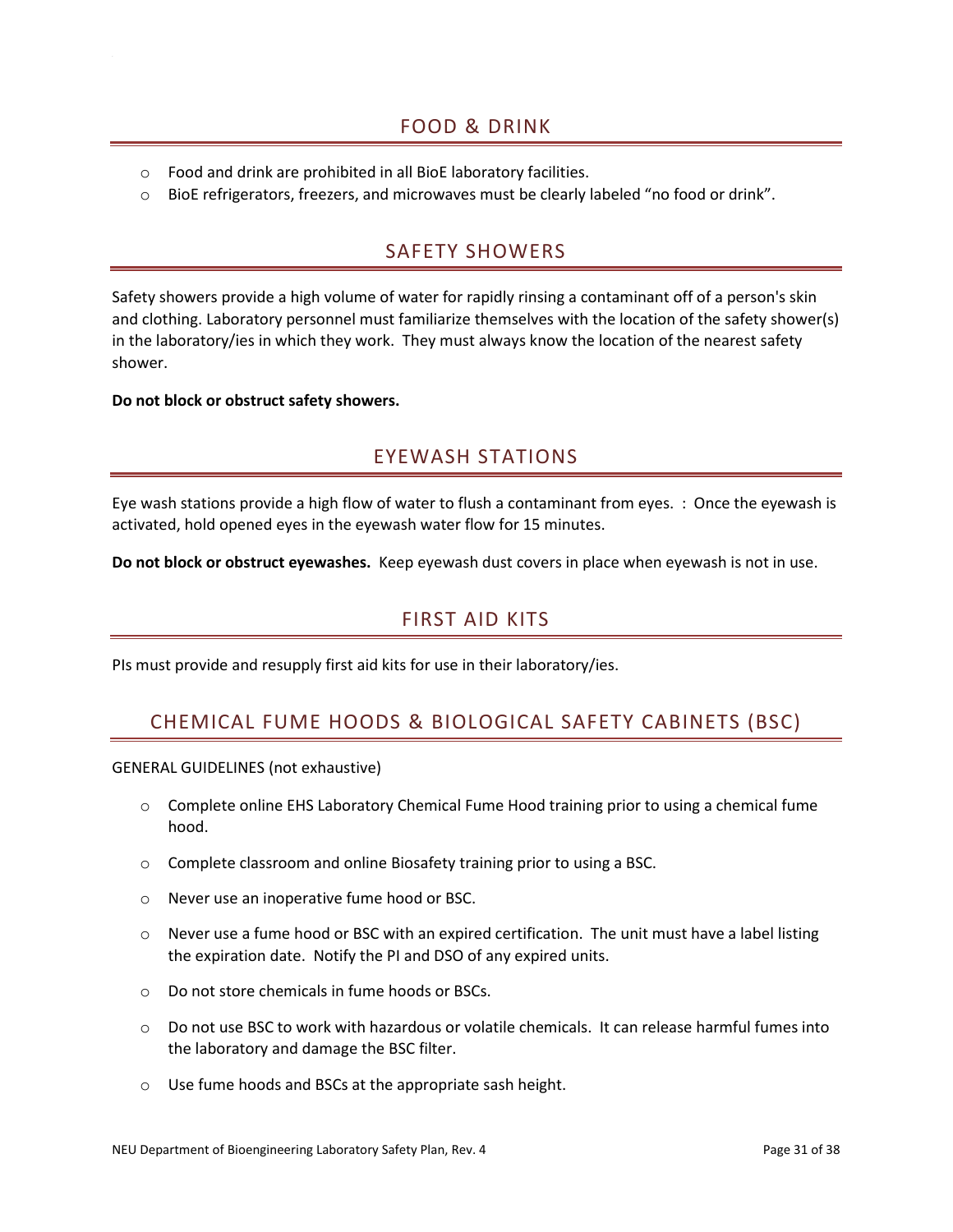- <span id="page-31-0"></span>o Food and drink are prohibited in all BioE laboratory facilities.
- <span id="page-31-1"></span>o BioE refrigerators, freezers, and microwaves must be clearly labeled "no food or drink".

# SAFETY SHOWERS

Safety showers provide a high volume of water for rapidly rinsing a contaminant off of a person's skin and clothing. Laboratory personnel must familiarize themselves with the location of the safety shower(s) in the laboratory/ies in which they work. They must always know the location of the nearest safety shower.

<span id="page-31-2"></span>**Do not block or obstruct safety showers.**

# EYEWASH STATIONS

Eye wash stations provide a high flow of water to flush a contaminant from eyes. : Once the eyewash is activated, hold opened eyes in the eyewash water flow for 15 minutes.

<span id="page-31-3"></span>**Do not block or obstruct eyewashes.** Keep eyewash dust covers in place when eyewash is not in use.

# FIRST AID KITS

<span id="page-31-4"></span>PIs must provide and resupply first aid kits for use in their laboratory/ies.

# CHEMICAL FUME HOODS & BIOLOGICAL SAFETY CABINETS (BSC)

GENERAL GUIDELINES (not exhaustive)

- o Complete online EHS Laboratory Chemical Fume Hood training prior to using a chemical fume hood.
- o Complete classroom and online Biosafety training prior to using a BSC.
- o Never use an inoperative fume hood or BSC.
- $\circ$  Never use a fume hood or BSC with an expired certification. The unit must have a label listing the expiration date. Notify the PI and DSO of any expired units.
- o Do not store chemicals in fume hoods or BSCs.
- $\circ$  Do not use BSC to work with hazardous or volatile chemicals. It can release harmful fumes into the laboratory and damage the BSC filter.
- o Use fume hoods and BSCs at the appropriate sash height.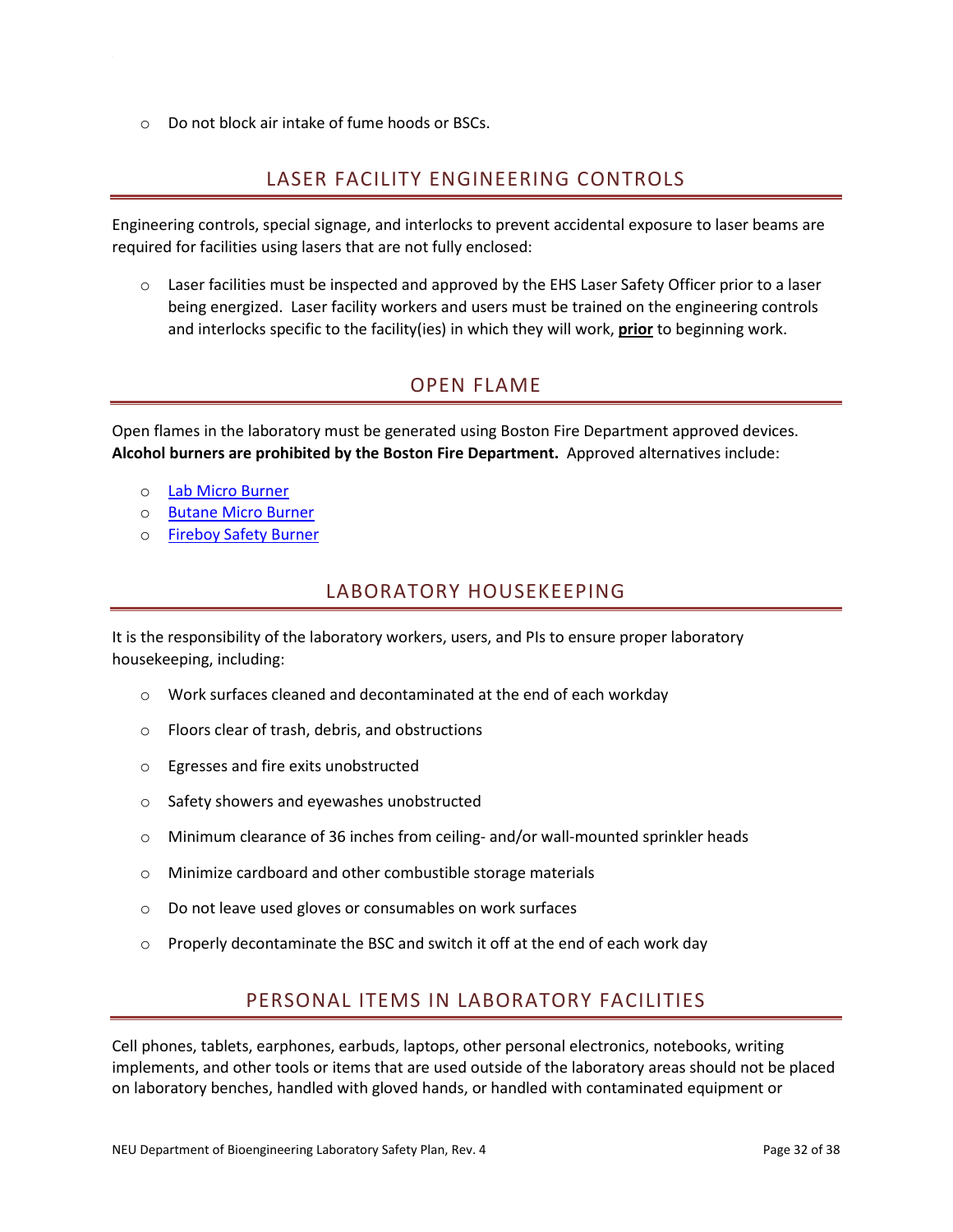<span id="page-32-0"></span>o Do not block air intake of fume hoods or BSCs.

# LASER FACILITY ENGINEERING CONTROLS

Engineering controls, special signage, and interlocks to prevent accidental exposure to laser beams are required for facilities using lasers that are not fully enclosed:

 $\circ$  Laser facilities must be inspected and approved by the EHS Laser Safety Officer prior to a laser being energized. Laser facility workers and users must be trained on the engineering controls and interlocks specific to the facility(ies) in which they will work, **prior** to beginning work.

# OPEN FLAME

<span id="page-32-1"></span>Open flames in the laboratory must be generated using Boston Fire Department approved devices. **Alcohol burners are prohibited by the Boston Fire Department.** Approved alternatives include:

- o [Lab Micro Burner](https://www.fishersci.com/shop/products/lab-micro-burner/s95554)
- o [Butane Micro Burner](https://www.fishersci.com/shop/products/butane-micro-burner-2/s65148)
- <span id="page-32-2"></span>o [Fireboy Safety Burner](https://www.integra-biosciences.com/united-states/en/flame-sterilization/fireboy)

# LABORATORY HOUSEKEEPING

It is the responsibility of the laboratory workers, users, and PIs to ensure proper laboratory housekeeping, including:

- o Work surfaces cleaned and decontaminated at the end of each workday
- o Floors clear of trash, debris, and obstructions
- o Egresses and fire exits unobstructed
- o Safety showers and eyewashes unobstructed
- o Minimum clearance of 36 inches from ceiling- and/or wall-mounted sprinkler heads
- o Minimize cardboard and other combustible storage materials
- o Do not leave used gloves or consumables on work surfaces
- <span id="page-32-3"></span> $\circ$  Properly decontaminate the BSC and switch it off at the end of each work day

# PERSONAL ITEMS IN LABORATORY FACILITIES

Cell phones, tablets, earphones, earbuds, laptops, other personal electronics, notebooks, writing implements, and other tools or items that are used outside of the laboratory areas should not be placed on laboratory benches, handled with gloved hands, or handled with contaminated equipment or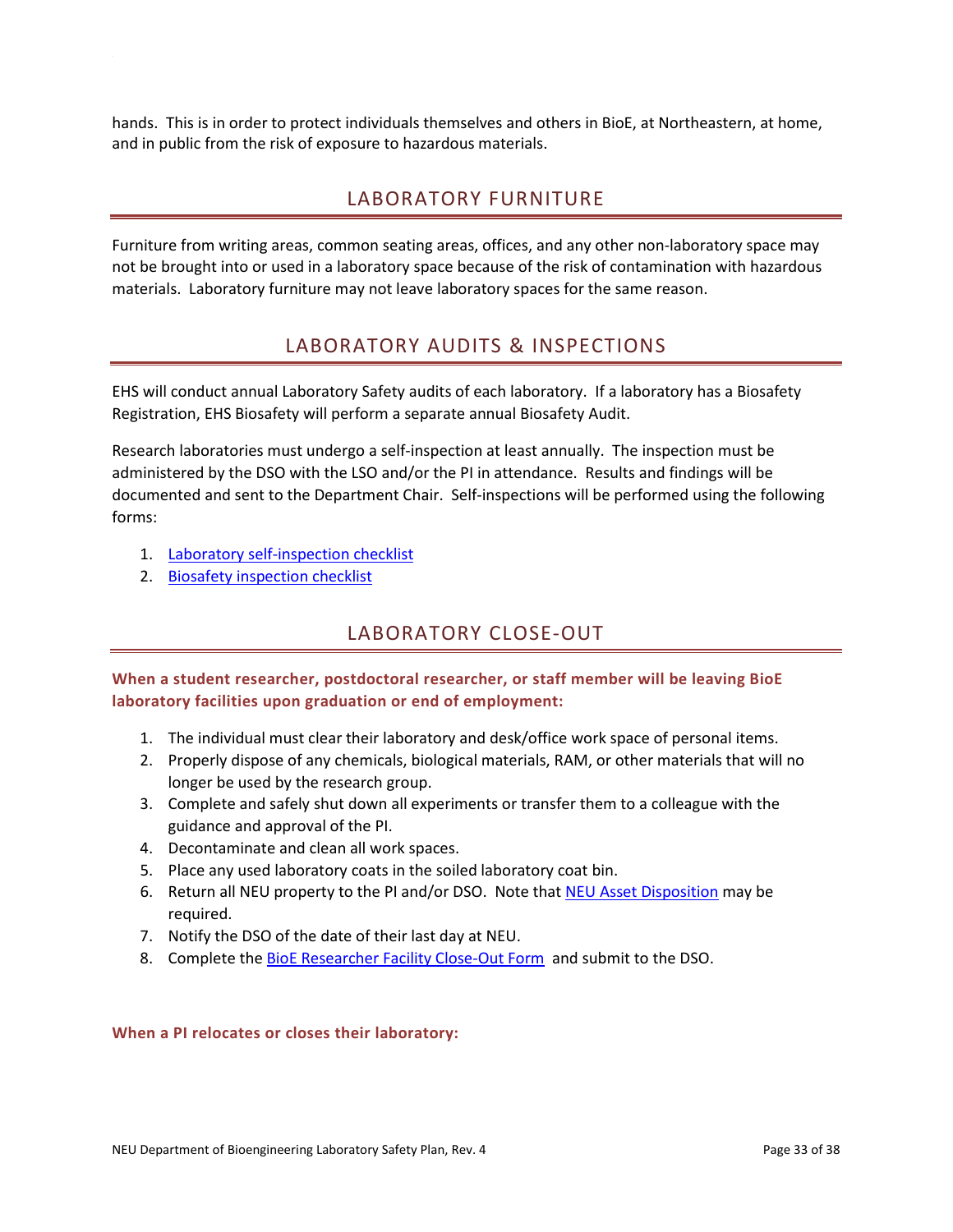<span id="page-33-0"></span>hands. This is in order to protect individuals themselves and others in BioE, at Northeastern, at home, and in public from the risk of exposure to hazardous materials.

# LABORATORY FURNITURE

Furniture from writing areas, common seating areas, offices, and any other non-laboratory space may not be brought into or used in a laboratory space because of the risk of contamination with hazardous materials. Laboratory furniture may not leave laboratory spaces for the same reason.

# LABORATORY AUDITS & INSPECTIONS

<span id="page-33-1"></span>EHS will conduct annual Laboratory Safety audits of each laboratory. If a laboratory has a Biosafety Registration, EHS Biosafety will perform a separate annual Biosafety Audit.

Research laboratories must undergo a self-inspection at least annually. The inspection must be administered by the DSO with the LSO and/or the PI in attendance. Results and findings will be documented and sent to the Department Chair. Self-inspections will be performed using the following forms:

- 1. [Laboratory self-inspection checklist](https://www.northeastern.edu/ehs/wp-content/uploads/2018/04/Lab_Self_Inspection_Checklist.doc)
- <span id="page-33-2"></span>2. [Biosafety inspection checklist](https://www.northeastern.edu/ehs/wp-content/uploads/2016/02/BSL2_Inspection_Checklist.pdf)

# LABORATORY CLOSE-OUT

**When a student researcher, postdoctoral researcher, or staff member will be leaving BioE laboratory facilities upon graduation or end of employment:** 

- 1. The individual must clear their laboratory and desk/office work space of personal items.
- 2. Properly dispose of any chemicals, biological materials, RAM, or other materials that will no longer be used by the research group.
- 3. Complete and safely shut down all experiments or transfer them to a colleague with the guidance and approval of the PI.
- 4. Decontaminate and clean all work spaces.
- 5. Place any used laboratory coats in the soiled laboratory coat bin.
- 6. Return all NEU property to the PI and/or DSO. Note that [NEU Asset Disposition](https://myfiles.neu.edu/webapps/bannerfinance/forms-Accounting.html#_ga=2.119996300.545615252.1532273845-102703259.1531754261) may be required.
- 7. Notify the DSO of the date of their last day at NEU.
- 8. Complete the [BioE Researcher Facility Close-Out Form](http://www.bioe.neu.edu/bioe/about/forms) and submit to the DSO.

#### **When a PI relocates or closes their laboratory:**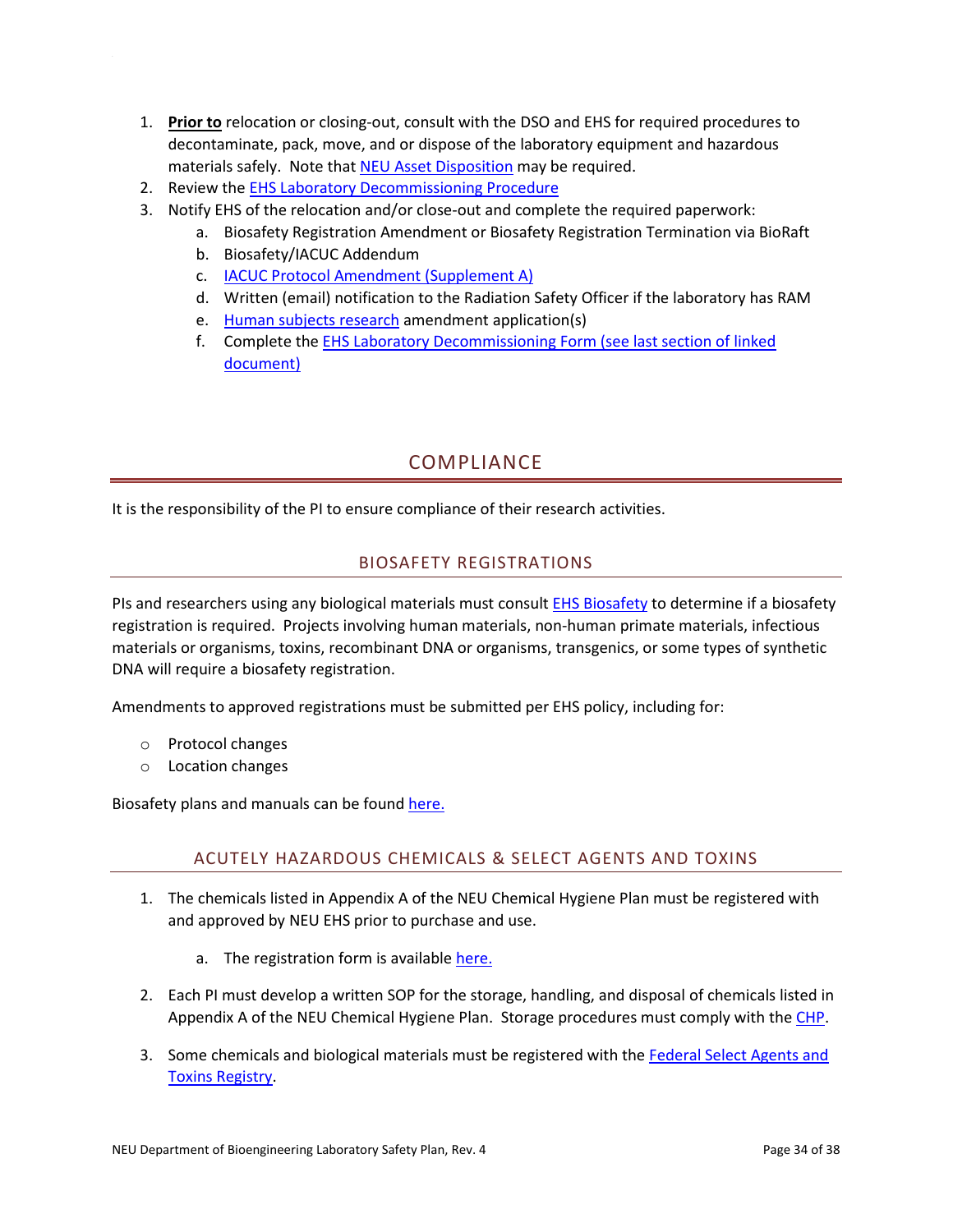- 1. **Prior to** relocation or closing-out, consult with the DSO and EHS for required procedures to decontaminate, pack, move, and or dispose of the laboratory equipment and hazardous materials safely. Note that [NEU Asset Disposition](https://myfiles.neu.edu/webapps/bannerfinance/forms-Accounting.html#_ga=2.119996300.545615252.1532273845-102703259.1531754261) may be required.
- 2. Review the **EHS Laboratory Decommissioning Procedure**
- 3. Notify EHS of the relocation and/or close-out and complete the required paperwork:
	- a. Biosafety Registration Amendment or Biosafety Registration Termination via BioRaft
	- b. Biosafety/IACUC Addendum
	- c. [IACUC Protocol Amendment \(Supplement A\)](https://dlam.neu.edu/wp-content/uploads/2011/03/ProtocolAmendmentForm5-2018.doc)
	- d. Written (email) notification to the Radiation Safety Officer if the laboratory has RAM
	- e. [Human subjects research](http://www.northeastern.edu/research/hsrp/forms/) amendment application(s)
	- f. Complete the [EHS Laboratory Decommissioning Form \(see last section of linked](https://www.northeastern.edu/ehs/Laboratory-Decommissioning-Procedure/)  [document\)](https://www.northeastern.edu/ehs/Laboratory-Decommissioning-Procedure/)

# COMPLIANCE

<span id="page-34-1"></span><span id="page-34-0"></span>It is the responsibility of the PI to ensure compliance of their research activities.

## BIOSAFETY REGISTRATIONS

PIs and researchers using any biological materials must consult [EHS Biosafety](mailto:Biosafety%20%3cBiosafety@northeastern.edu%3e) to determine if a biosafety registration is required. Projects involving human materials, non-human primate materials, infectious materials or organisms, toxins, recombinant DNA or organisms, transgenics, or some types of synthetic DNA will require a biosafety registration.

Amendments to approved registrations must be submitted per EHS policy, including for:

- o Protocol changes
- o Location changes

<span id="page-34-2"></span>Biosafety plans and manuals can be found here.

## ACUTELY HAZARDOUS CHEMICALS & SELECT AGENTS AND TOXINS

- 1. The chemicals listed in Appendix A of the NEU Chemical Hygiene Plan must be registered with and approved by NEU EHS prior to purchase and use.
	- a. The registration form is available [here.](http://www.northeastern.edu/ehs/wp-content/uploads/2014/12/Hazardous_Chemical_Registration_Form2.doc)
- 2. Each PI must develop a written SOP for the storage, handling, and disposal of chemicals listed in Appendix A of the NEU Chemical Hygiene Plan. Storage procedures must comply with th[e CHP.](https://www.northeastern.edu/ehs/ehs-programs/laboratory-safety/chemical-hygiene/chemical-hygiene-plan/)
- 3. Some chemicals and biological materials must be registered with the [Federal Select Agents and](https://www.selectagents.gov/)  [Toxins Registry.](https://www.selectagents.gov/)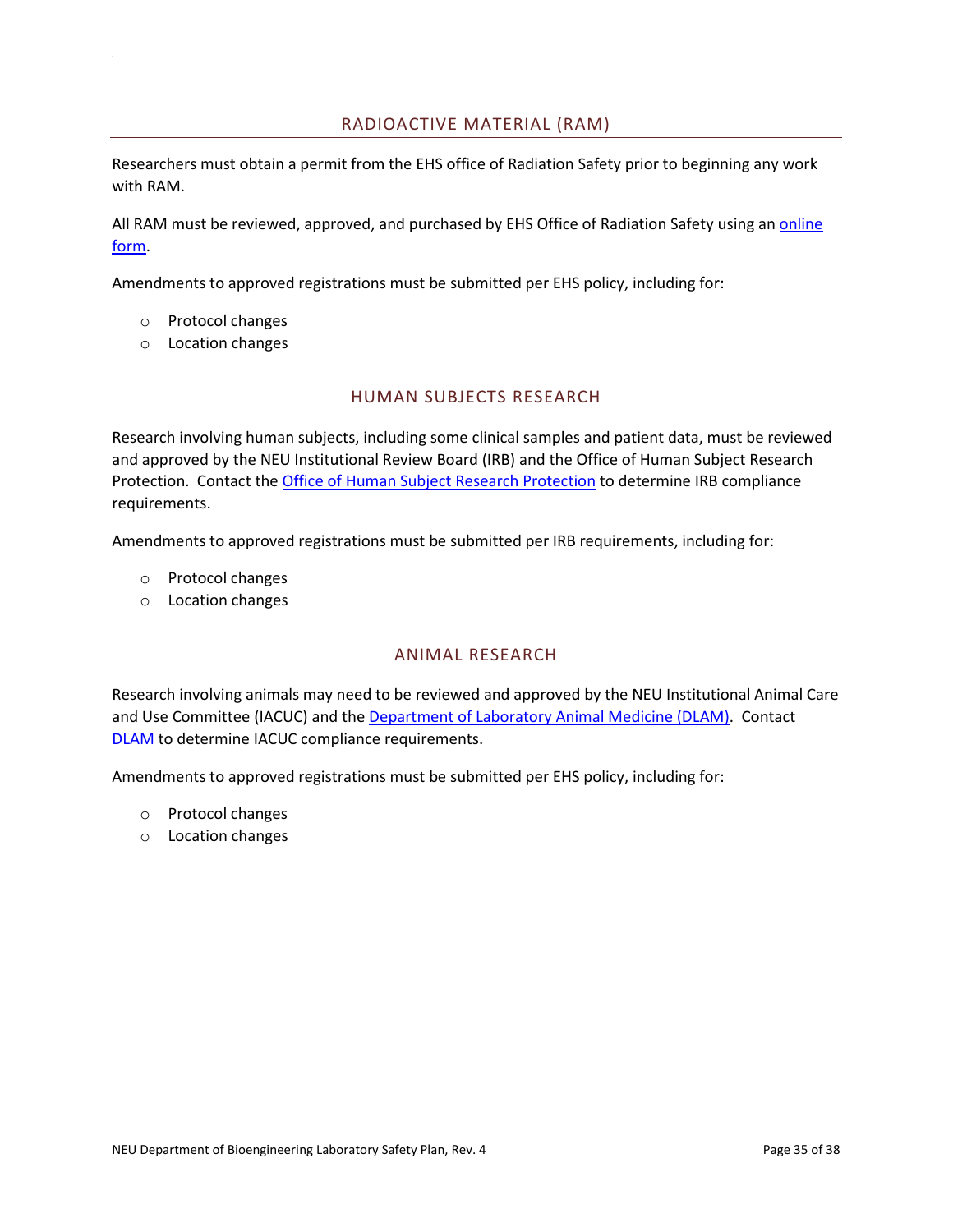#### RADIOACTIVE MATERIAL (RAM)

<span id="page-35-0"></span>Researchers must obtain a permit from the EHS office of Radiation Safety prior to beginning any work with RAM.

All RAM must be reviewed, approved, and purchased by EHS Office of Radiation Safety using a[n online](https://www.northeastern.edu/ehs/ehs-programs/radiation-safety/radioactive-material-order-form/)  [form.](https://www.northeastern.edu/ehs/ehs-programs/radiation-safety/radioactive-material-order-form/)

Amendments to approved registrations must be submitted per EHS policy, including for:

- o Protocol changes
- <span id="page-35-1"></span>o Location changes

#### HUMAN SUBJECTS RESEARCH

Research involving human subjects, including some clinical samples and patient data, must be reviewed and approved by the NEU Institutional Review Board (IRB) and the Office of Human Subject Research Protection. Contact the Office [of Human Subject Research Protection](http://www.northeastern.edu/research/hsrp/contact/) to determine IRB compliance requirements.

Amendments to approved registrations must be submitted per IRB requirements, including for:

- o Protocol changes
- <span id="page-35-2"></span>o Location changes

#### ANIMAL RESEARCH

Research involving animals may need to be reviewed and approved by the NEU Institutional Animal Care and Use Committee (IACUC) and the [Department of Laboratory Animal Medicine \(DLAM\).](https://dlam.neu.edu/) Contact [DLAM](mailto:dlam@northeastern.edu) to determine IACUC compliance requirements.

Amendments to approved registrations must be submitted per EHS policy, including for:

- o Protocol changes
- o Location changes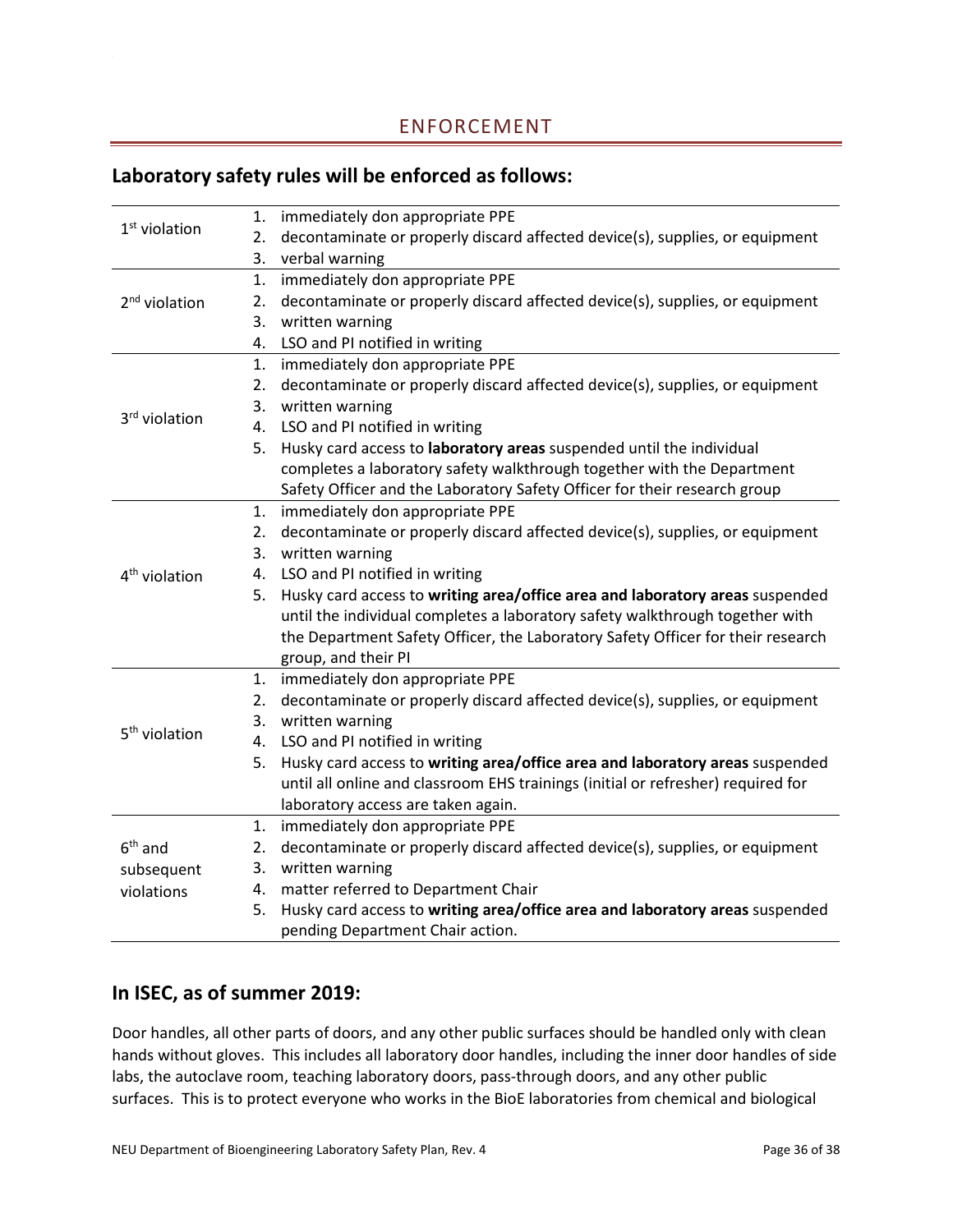# <span id="page-36-0"></span>**Laboratory safety rules will be enforced as follows:**

|                           | 1. | immediately don appropriate PPE                                                  |
|---------------------------|----|----------------------------------------------------------------------------------|
| $1st$ violation           | 2. | decontaminate or properly discard affected device(s), supplies, or equipment     |
|                           |    | 3. verbal warning                                                                |
|                           | 1. | immediately don appropriate PPE                                                  |
| $2nd$ violation           | 2. | decontaminate or properly discard affected device(s), supplies, or equipment     |
|                           | 3. | written warning                                                                  |
|                           | 4. | LSO and PI notified in writing                                                   |
|                           | 1. | immediately don appropriate PPE                                                  |
|                           | 2. | decontaminate or properly discard affected device(s), supplies, or equipment     |
|                           | 3. | written warning                                                                  |
| 3rd violation             |    | 4. LSO and PI notified in writing                                                |
|                           |    | 5. Husky card access to laboratory areas suspended until the individual          |
|                           |    | completes a laboratory safety walkthrough together with the Department           |
|                           |    | Safety Officer and the Laboratory Safety Officer for their research group        |
|                           | 1. | immediately don appropriate PPE                                                  |
|                           | 2. | decontaminate or properly discard affected device(s), supplies, or equipment     |
|                           | 3. | written warning                                                                  |
| 4 <sup>th</sup> violation |    | 4. LSO and PI notified in writing                                                |
|                           | 5. | Husky card access to writing area/office area and laboratory areas suspended     |
|                           |    | until the individual completes a laboratory safety walkthrough together with     |
|                           |    | the Department Safety Officer, the Laboratory Safety Officer for their research  |
|                           |    | group, and their PI                                                              |
|                           |    | 1. immediately don appropriate PPE                                               |
|                           | 2. | decontaminate or properly discard affected device(s), supplies, or equipment     |
|                           |    | 3. written warning                                                               |
| 5 <sup>th</sup> violation |    | 4. LSO and PI notified in writing                                                |
|                           | 5. | Husky card access to writing area/office area and laboratory areas suspended     |
|                           |    | until all online and classroom EHS trainings (initial or refresher) required for |
|                           |    | laboratory access are taken again.                                               |
|                           | 1. | immediately don appropriate PPE                                                  |
| $6th$ and                 | 2. | decontaminate or properly discard affected device(s), supplies, or equipment     |
| subsequent                | 3. | written warning                                                                  |
| violations                | 4. | matter referred to Department Chair                                              |
|                           | 5. | Husky card access to writing area/office area and laboratory areas suspended     |
|                           |    | pending Department Chair action.                                                 |

# **In ISEC, as of summer 2019:**

Door handles, all other parts of doors, and any other public surfaces should be handled only with clean hands without gloves. This includes all laboratory door handles, including the inner door handles of side labs, the autoclave room, teaching laboratory doors, pass-through doors, and any other public surfaces. This is to protect everyone who works in the BioE laboratories from chemical and biological